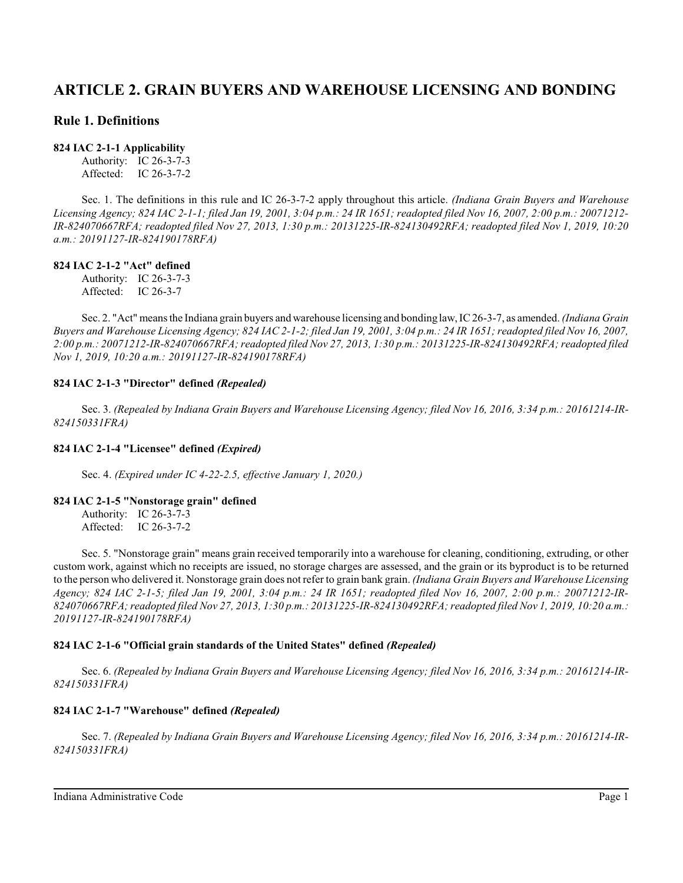# **ARTICLE 2. GRAIN BUYERS AND WAREHOUSE LICENSING AND BONDING**

## **Rule 1. Definitions**

#### **824 IAC 2-1-1 Applicability**

Authority: IC 26-3-7-3 Affected: IC 26-3-7-2

Sec. 1. The definitions in this rule and IC 26-3-7-2 apply throughout this article. *(Indiana Grain Buyers and Warehouse Licensing Agency; 824 IAC 2-1-1; filed Jan 19, 2001, 3:04 p.m.: 24 IR 1651; readopted filed Nov 16, 2007, 2:00 p.m.: 20071212- IR-824070667RFA; readopted filed Nov 27, 2013, 1:30 p.m.: 20131225-IR-824130492RFA; readopted filed Nov 1, 2019, 10:20 a.m.: 20191127-IR-824190178RFA)*

## **824 IAC 2-1-2 "Act" defined**

Authority: IC 26-3-7-3 Affected: IC 26-3-7

Sec. 2. "Act" means the Indiana grain buyers and warehouse licensing and bonding law, IC 26-3-7, as amended.*(Indiana Grain Buyers and Warehouse Licensing Agency; 824 IAC 2-1-2; filed Jan 19, 2001, 3:04 p.m.: 24 IR 1651; readopted filed Nov 16, 2007, 2:00 p.m.: 20071212-IR-824070667RFA; readopted filed Nov 27, 2013, 1:30 p.m.: 20131225-IR-824130492RFA; readopted filed Nov 1, 2019, 10:20 a.m.: 20191127-IR-824190178RFA)*

## **824 IAC 2-1-3 "Director" defined** *(Repealed)*

Sec. 3. *(Repealed by Indiana Grain Buyers and Warehouse Licensing Agency; filed Nov 16, 2016, 3:34 p.m.: 20161214-IR-824150331FRA)*

#### **824 IAC 2-1-4 "Licensee" defined** *(Expired)*

Sec. 4. *(Expired under IC 4-22-2.5, effective January 1, 2020.)*

#### **824 IAC 2-1-5 "Nonstorage grain" defined**

Authority: IC 26-3-7-3 Affected: IC 26-3-7-2

Sec. 5. "Nonstorage grain" means grain received temporarily into a warehouse for cleaning, conditioning, extruding, or other custom work, against which no receipts are issued, no storage charges are assessed, and the grain or its byproduct is to be returned to the person who delivered it. Nonstorage grain does not refer to grain bank grain. *(Indiana Grain Buyers and Warehouse Licensing Agency; 824 IAC 2-1-5; filed Jan 19, 2001, 3:04 p.m.: 24 IR 1651; readopted filed Nov 16, 2007, 2:00 p.m.: 20071212-IR-824070667RFA; readopted filed Nov 27, 2013, 1:30 p.m.: 20131225-IR-824130492RFA; readopted filed Nov 1, 2019, 10:20 a.m.: 20191127-IR-824190178RFA)*

## **824 IAC 2-1-6 "Official grain standards of the United States" defined** *(Repealed)*

Sec. 6. *(Repealed by Indiana Grain Buyers and Warehouse Licensing Agency; filed Nov 16, 2016, 3:34 p.m.: 20161214-IR-824150331FRA)*

## **824 IAC 2-1-7 "Warehouse" defined** *(Repealed)*

Sec. 7. *(Repealed by Indiana Grain Buyers and Warehouse Licensing Agency; filed Nov 16, 2016, 3:34 p.m.: 20161214-IR-824150331FRA)*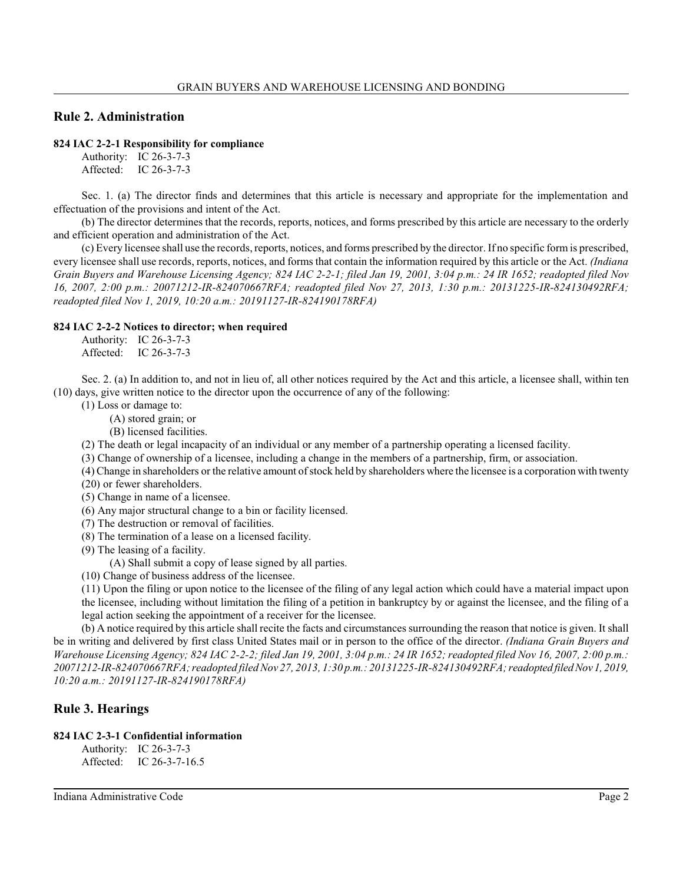## **Rule 2. Administration**

#### **824 IAC 2-2-1 Responsibility for compliance**

Authority: IC 26-3-7-3 Affected: IC 26-3-7-3

Sec. 1. (a) The director finds and determines that this article is necessary and appropriate for the implementation and effectuation of the provisions and intent of the Act.

(b) The director determines that the records, reports, notices, and forms prescribed by this article are necessary to the orderly and efficient operation and administration of the Act.

(c) Every licensee shall use the records, reports, notices, and forms prescribed by the director. If no specific form is prescribed, every licensee shall use records, reports, notices, and forms that contain the information required by this article or the Act. *(Indiana Grain Buyers and Warehouse Licensing Agency; 824 IAC 2-2-1; filed Jan 19, 2001, 3:04 p.m.: 24 IR 1652; readopted filed Nov 16, 2007, 2:00 p.m.: 20071212-IR-824070667RFA; readopted filed Nov 27, 2013, 1:30 p.m.: 20131225-IR-824130492RFA; readopted filed Nov 1, 2019, 10:20 a.m.: 20191127-IR-824190178RFA)*

#### **824 IAC 2-2-2 Notices to director; when required**

Authority: IC 26-3-7-3 Affected: IC 26-3-7-3

Sec. 2. (a) In addition to, and not in lieu of, all other notices required by the Act and this article, a licensee shall, within ten (10) days, give written notice to the director upon the occurrence of any of the following:

- (1) Loss or damage to:
	- (A) stored grain; or
	- (B) licensed facilities.

(2) The death or legal incapacity of an individual or any member of a partnership operating a licensed facility.

(3) Change of ownership of a licensee, including a change in the members of a partnership, firm, or association.

- (4) Change in shareholders or the relative amount of stock held by shareholders where the licensee is a corporation with twenty (20) or fewer shareholders.
- (5) Change in name of a licensee.
- (6) Any major structural change to a bin or facility licensed.
- (7) The destruction or removal of facilities.
- (8) The termination of a lease on a licensed facility.
- (9) The leasing of a facility.

(A) Shall submit a copy of lease signed by all parties.

(10) Change of business address of the licensee.

(11) Upon the filing or upon notice to the licensee of the filing of any legal action which could have a material impact upon the licensee, including without limitation the filing of a petition in bankruptcy by or against the licensee, and the filing of a legal action seeking the appointment of a receiver for the licensee.

(b) A notice required by this article shall recite the facts and circumstances surrounding the reason that notice is given. It shall be in writing and delivered by first class United States mail or in person to the office of the director. *(Indiana Grain Buyers and Warehouse Licensing Agency; 824 IAC 2-2-2; filed Jan 19, 2001, 3:04 p.m.: 24 IR 1652; readopted filed Nov 16, 2007, 2:00 p.m.: 20071212-IR-824070667RFA; readopted filed Nov 27, 2013, 1:30 p.m.: 20131225-IR-824130492RFA; readopted filed Nov 1, 2019, 10:20 a.m.: 20191127-IR-824190178RFA)*

## **Rule 3. Hearings**

### **824 IAC 2-3-1 Confidential information**

Authority: IC 26-3-7-3 Affected: IC 26-3-7-16.5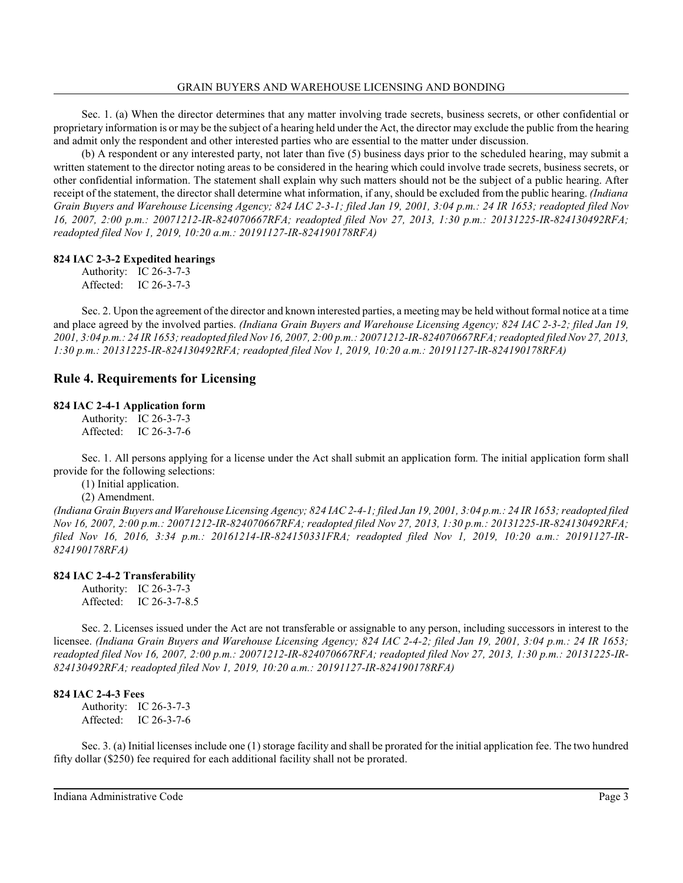Sec. 1. (a) When the director determines that any matter involving trade secrets, business secrets, or other confidential or proprietary information is or may be the subject of a hearing held under the Act, the director may exclude the public from the hearing and admit only the respondent and other interested parties who are essential to the matter under discussion.

(b) A respondent or any interested party, not later than five (5) business days prior to the scheduled hearing, may submit a written statement to the director noting areas to be considered in the hearing which could involve trade secrets, business secrets, or other confidential information. The statement shall explain why such matters should not be the subject of a public hearing. After receipt of the statement, the director shall determine what information, if any, should be excluded from the public hearing. *(Indiana Grain Buyers and Warehouse Licensing Agency; 824 IAC 2-3-1; filed Jan 19, 2001, 3:04 p.m.: 24 IR 1653; readopted filed Nov 16, 2007, 2:00 p.m.: 20071212-IR-824070667RFA; readopted filed Nov 27, 2013, 1:30 p.m.: 20131225-IR-824130492RFA; readopted filed Nov 1, 2019, 10:20 a.m.: 20191127-IR-824190178RFA)*

## **824 IAC 2-3-2 Expedited hearings**

Authority: IC 26-3-7-3 Affected: IC 26-3-7-3

Sec. 2. Upon the agreement of the director and known interested parties, a meeting may be held without formal notice at a time and place agreed by the involved parties. *(Indiana Grain Buyers and Warehouse Licensing Agency; 824 IAC 2-3-2; filed Jan 19, 2001, 3:04 p.m.: 24 IR 1653; readopted filed Nov 16, 2007, 2:00 p.m.: 20071212-IR-824070667RFA; readopted filed Nov 27, 2013, 1:30 p.m.: 20131225-IR-824130492RFA; readopted filed Nov 1, 2019, 10:20 a.m.: 20191127-IR-824190178RFA)*

## **Rule 4. Requirements for Licensing**

#### **824 IAC 2-4-1 Application form**

Authority: IC 26-3-7-3 Affected: IC 26-3-7-6

Sec. 1. All persons applying for a license under the Act shall submit an application form. The initial application form shall provide for the following selections:

(1) Initial application.

(2) Amendment.

*(Indiana Grain Buyers and Warehouse Licensing Agency; 824 IAC 2-4-1; filed Jan 19, 2001, 3:04 p.m.: 24 IR 1653; readopted filed Nov 16, 2007, 2:00 p.m.: 20071212-IR-824070667RFA; readopted filed Nov 27, 2013, 1:30 p.m.: 20131225-IR-824130492RFA; filed Nov 16, 2016, 3:34 p.m.: 20161214-IR-824150331FRA; readopted filed Nov 1, 2019, 10:20 a.m.: 20191127-IR-824190178RFA)*

## **824 IAC 2-4-2 Transferability**

Authority: IC 26-3-7-3 Affected: IC 26-3-7-8.5

Sec. 2. Licenses issued under the Act are not transferable or assignable to any person, including successors in interest to the licensee. *(Indiana Grain Buyers and Warehouse Licensing Agency; 824 IAC 2-4-2; filed Jan 19, 2001, 3:04 p.m.: 24 IR 1653; readopted filed Nov 16, 2007, 2:00 p.m.: 20071212-IR-824070667RFA; readopted filed Nov 27, 2013, 1:30 p.m.: 20131225-IR-824130492RFA; readopted filed Nov 1, 2019, 10:20 a.m.: 20191127-IR-824190178RFA)*

## **824 IAC 2-4-3 Fees**

Authority: IC 26-3-7-3 Affected: IC 26-3-7-6

Sec. 3. (a) Initial licenses include one (1) storage facility and shall be prorated for the initial application fee. The two hundred fifty dollar (\$250) fee required for each additional facility shall not be prorated.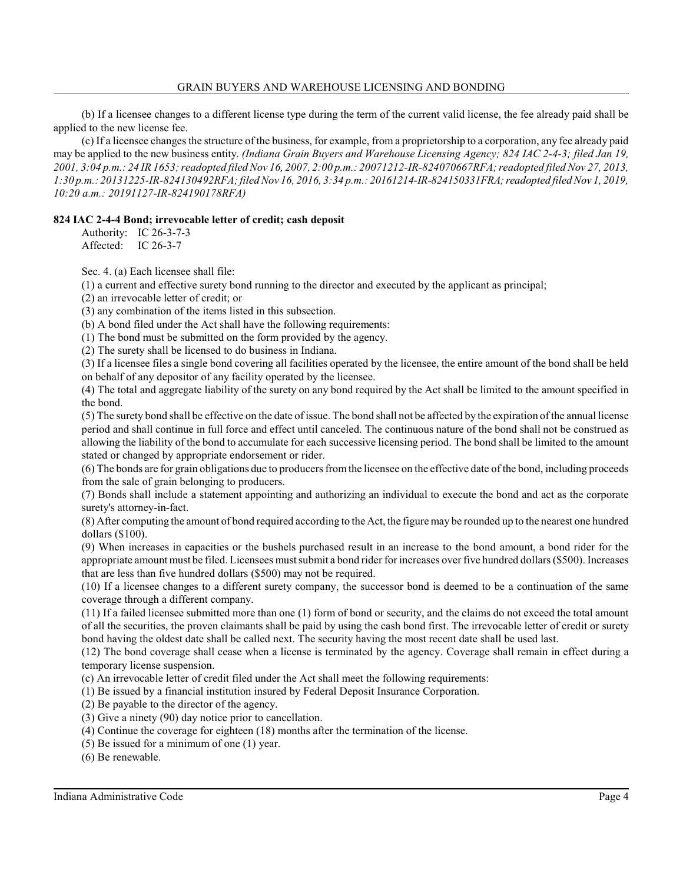(b) If a licensee changes to a different license type during the term of the current valid license, the fee already paid shall be applied to the new license fee.

(c) If a licensee changes the structure of the business, for example, from a proprietorship to a corporation, any fee already paid may be applied to the new business entity. *(Indiana Grain Buyers and Warehouse Licensing Agency; 824 IAC 2-4-3; filed Jan 19, 2001, 3:04 p.m.: 24 IR 1653; readopted filed Nov 16, 2007, 2:00 p.m.: 20071212-IR-824070667RFA; readopted filed Nov 27, 2013, 1:30 p.m.: 20131225-IR-824130492RFA; filed Nov 16, 2016, 3:34 p.m.: 20161214-IR-824150331FRA; readopted filed Nov 1, 2019, 10:20 a.m.: 20191127-IR-824190178RFA)*

## **824 IAC 2-4-4 Bond; irrevocable letter of credit; cash deposit**

Authority: IC 26-3-7-3 Affected: IC 26-3-7

Sec. 4. (a) Each licensee shall file:

(1) a current and effective surety bond running to the director and executed by the applicant as principal;

(2) an irrevocable letter of credit; or

(3) any combination of the items listed in this subsection.

(b) A bond filed under the Act shall have the following requirements:

(1) The bond must be submitted on the form provided by the agency.

(2) The surety shall be licensed to do business in Indiana.

(3) If a licensee files a single bond covering all facilities operated by the licensee, the entire amount of the bond shall be held on behalf of any depositor of any facility operated by the licensee.

(4) The total and aggregate liability of the surety on any bond required by the Act shall be limited to the amount specified in the bond.

(5) The surety bond shall be effective on the date of issue. The bond shall not be affected by the expiration of the annual license period and shall continue in full force and effect until canceled. The continuous nature of the bond shall not be construed as allowing the liability of the bond to accumulate for each successive licensing period. The bond shall be limited to the amount stated or changed by appropriate endorsement or rider.

(6) The bonds are for grain obligations due to producers fromthe licensee on the effective date of the bond, including proceeds from the sale of grain belonging to producers.

(7) Bonds shall include a statement appointing and authorizing an individual to execute the bond and act as the corporate surety's attorney-in-fact.

(8) After computing the amount of bond required according to the Act, the figure may be rounded up to the nearest one hundred dollars (\$100).

(9) When increases in capacities or the bushels purchased result in an increase to the bond amount, a bond rider for the appropriate amount must be filed. Licensees mustsubmit a bond rider for increases over five hundred dollars (\$500). Increases that are less than five hundred dollars (\$500) may not be required.

(10) If a licensee changes to a different surety company, the successor bond is deemed to be a continuation of the same coverage through a different company.

(11) If a failed licensee submitted more than one (1) form of bond or security, and the claims do not exceed the total amount of all the securities, the proven claimants shall be paid by using the cash bond first. The irrevocable letter of credit or surety bond having the oldest date shall be called next. The security having the most recent date shall be used last.

(12) The bond coverage shall cease when a license is terminated by the agency. Coverage shall remain in effect during a temporary license suspension.

(c) An irrevocable letter of credit filed under the Act shall meet the following requirements:

(1) Be issued by a financial institution insured by Federal Deposit Insurance Corporation.

(2) Be payable to the director of the agency.

(3) Give a ninety (90) day notice prior to cancellation.

(4) Continue the coverage for eighteen (18) months after the termination of the license.

(5) Be issued for a minimum of one (1) year.

(6) Be renewable.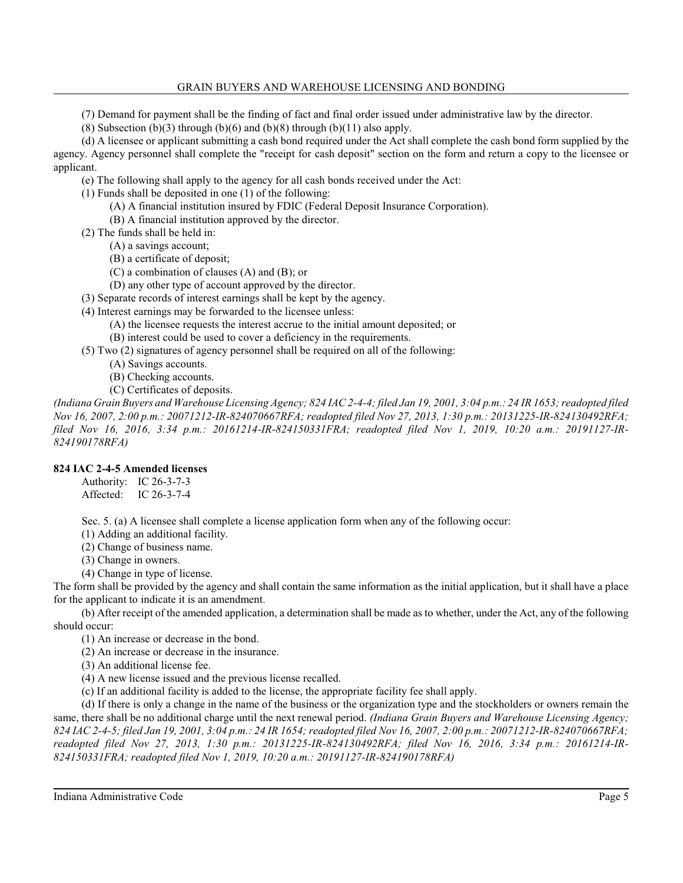(7) Demand for payment shall be the finding of fact and final order issued under administrative law by the director.

(8) Subsection (b)(3) through (b)(6) and (b)(8) through (b)(11) also apply.

(d) A licensee or applicant submitting a cash bond required under the Act shall complete the cash bond form supplied by the agency. Agency personnel shall complete the "receipt for cash deposit" section on the form and return a copy to the licensee or applicant.

(e) The following shall apply to the agency for all cash bonds received under the Act:

(1) Funds shall be deposited in one (1) of the following:

(A) A financial institution insured by FDIC (Federal Deposit Insurance Corporation).

(B) A financial institution approved by the director.

(2) The funds shall be held in:

(A) a savings account;

(B) a certificate of deposit;

(C) a combination of clauses (A) and (B); or

(D) any other type of account approved by the director.

(3) Separate records of interest earnings shall be kept by the agency.

(4) Interest earnings may be forwarded to the licensee unless:

(A) the licensee requests the interest accrue to the initial amount deposited; or

(B) interest could be used to cover a deficiency in the requirements.

(5) Two (2) signatures of agency personnel shall be required on all of the following:

- (A) Savings accounts.
- (B) Checking accounts.

(C) Certificates of deposits.

*(Indiana Grain Buyers and Warehouse Licensing Agency; 824 IAC 2-4-4; filed Jan 19, 2001, 3:04 p.m.: 24 IR 1653; readopted filed Nov 16, 2007, 2:00 p.m.: 20071212-IR-824070667RFA; readopted filed Nov 27, 2013, 1:30 p.m.: 20131225-IR-824130492RFA; filed Nov 16, 2016, 3:34 p.m.: 20161214-IR-824150331FRA; readopted filed Nov 1, 2019, 10:20 a.m.: 20191127-IR-824190178RFA)*

#### **824 IAC 2-4-5 Amended licenses**

Authority: IC 26-3-7-3 Affected: IC 26-3-7-4

Sec. 5. (a) A licensee shall complete a license application form when any of the following occur:

(1) Adding an additional facility.

(2) Change of business name.

(3) Change in owners.

(4) Change in type of license.

The form shall be provided by the agency and shall contain the same information as the initial application, but it shall have a place for the applicant to indicate it is an amendment.

(b) After receipt of the amended application, a determination shall be made as to whether, under the Act, any of the following should occur:

(1) An increase or decrease in the bond.

(2) An increase or decrease in the insurance.

(3) An additional license fee.

(4) A new license issued and the previous license recalled.

(c) If an additional facility is added to the license, the appropriate facility fee shall apply.

(d) If there is only a change in the name of the business or the organization type and the stockholders or owners remain the same, there shall be no additional charge until the next renewal period. *(Indiana Grain Buyers and Warehouse Licensing Agency; 824 IAC 2-4-5; filed Jan 19, 2001, 3:04 p.m.: 24 IR 1654; readopted filed Nov 16, 2007, 2:00 p.m.: 20071212-IR-824070667RFA; readopted filed Nov 27, 2013, 1:30 p.m.: 20131225-IR-824130492RFA; filed Nov 16, 2016, 3:34 p.m.: 20161214-IR-824150331FRA; readopted filed Nov 1, 2019, 10:20 a.m.: 20191127-IR-824190178RFA)*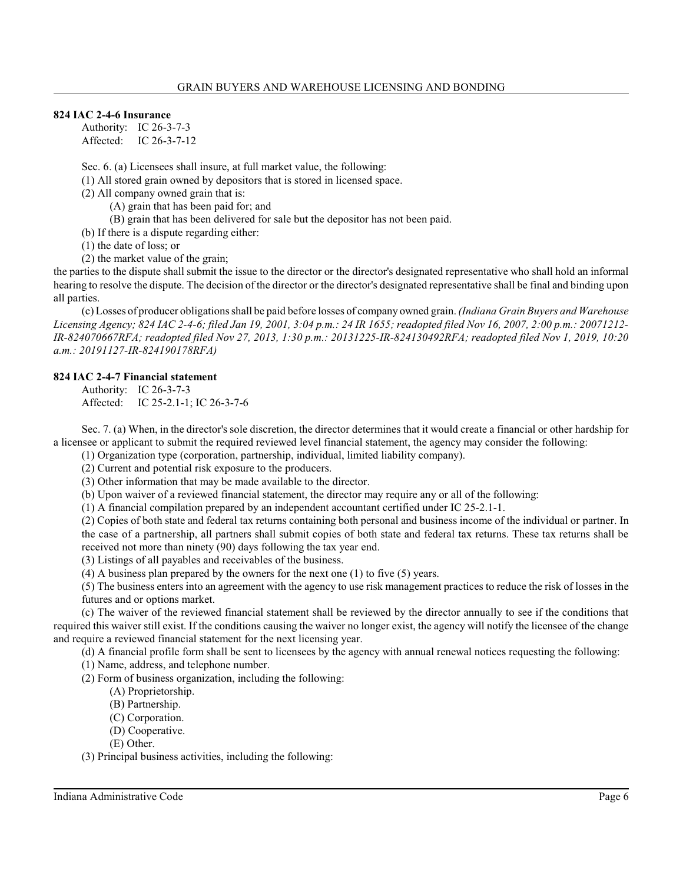#### **824 IAC 2-4-6 Insurance**

Authority: IC 26-3-7-3 Affected: IC 26-3-7-12

Sec. 6. (a) Licensees shall insure, at full market value, the following:

(1) All stored grain owned by depositors that is stored in licensed space.

(2) All company owned grain that is:

(A) grain that has been paid for; and

(B) grain that has been delivered for sale but the depositor has not been paid.

(b) If there is a dispute regarding either:

(1) the date of loss; or

(2) the market value of the grain;

the parties to the dispute shall submit the issue to the director or the director's designated representative who shall hold an informal hearing to resolve the dispute. The decision of the director or the director's designated representative shall be final and binding upon all parties.

(c) Losses of producer obligationsshall be paid before losses of company owned grain. *(Indiana Grain Buyers and Warehouse Licensing Agency; 824 IAC 2-4-6; filed Jan 19, 2001, 3:04 p.m.: 24 IR 1655; readopted filed Nov 16, 2007, 2:00 p.m.: 20071212- IR-824070667RFA; readopted filed Nov 27, 2013, 1:30 p.m.: 20131225-IR-824130492RFA; readopted filed Nov 1, 2019, 10:20 a.m.: 20191127-IR-824190178RFA)*

#### **824 IAC 2-4-7 Financial statement**

Authority: IC 26-3-7-3 Affected: IC 25-2.1-1; IC 26-3-7-6

Sec. 7. (a) When, in the director's sole discretion, the director determines that it would create a financial or other hardship for a licensee or applicant to submit the required reviewed level financial statement, the agency may consider the following:

(1) Organization type (corporation, partnership, individual, limited liability company).

(2) Current and potential risk exposure to the producers.

(3) Other information that may be made available to the director.

(b) Upon waiver of a reviewed financial statement, the director may require any or all of the following:

(1) A financial compilation prepared by an independent accountant certified under IC 25-2.1-1.

(2) Copies of both state and federal tax returns containing both personal and business income of the individual or partner. In the case of a partnership, all partners shall submit copies of both state and federal tax returns. These tax returns shall be received not more than ninety (90) days following the tax year end.

(3) Listings of all payables and receivables of the business.

(4) A business plan prepared by the owners for the next one (1) to five (5) years.

(5) The business enters into an agreement with the agency to use risk management practices to reduce the risk of losses in the futures and or options market.

(c) The waiver of the reviewed financial statement shall be reviewed by the director annually to see if the conditions that required this waiver still exist. If the conditions causing the waiver no longer exist, the agency will notify the licensee of the change and require a reviewed financial statement for the next licensing year.

(d) A financial profile form shall be sent to licensees by the agency with annual renewal notices requesting the following:

(1) Name, address, and telephone number.

(2) Form of business organization, including the following:

- (A) Proprietorship.
- (B) Partnership.
- (C) Corporation.
- (D) Cooperative.
- (E) Other.

(3) Principal business activities, including the following: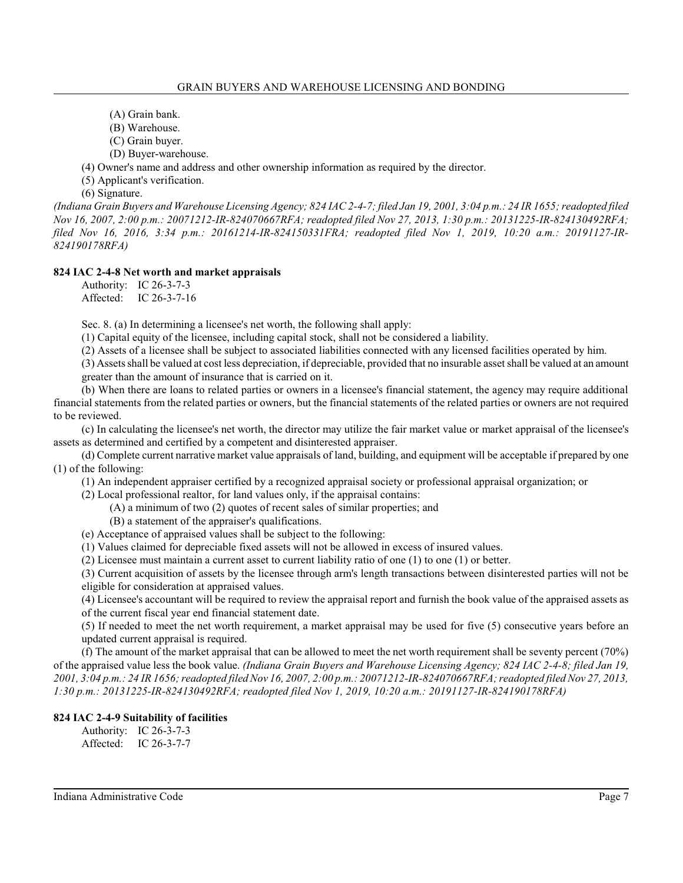- (A) Grain bank.
- (B) Warehouse.
- (C) Grain buyer.
- (D) Buyer-warehouse.

(4) Owner's name and address and other ownership information as required by the director.

(5) Applicant's verification.

(6) Signature.

*(Indiana Grain Buyers and Warehouse Licensing Agency; 824 IAC 2-4-7; filed Jan 19, 2001, 3:04 p.m.: 24 IR 1655; readopted filed Nov 16, 2007, 2:00 p.m.: 20071212-IR-824070667RFA; readopted filed Nov 27, 2013, 1:30 p.m.: 20131225-IR-824130492RFA; filed Nov 16, 2016, 3:34 p.m.: 20161214-IR-824150331FRA; readopted filed Nov 1, 2019, 10:20 a.m.: 20191127-IR-824190178RFA)*

## **824 IAC 2-4-8 Net worth and market appraisals**

Authority: IC 26-3-7-3 Affected: IC 26-3-7-16

Sec. 8. (a) In determining a licensee's net worth, the following shall apply:

(1) Capital equity of the licensee, including capital stock, shall not be considered a liability.

(2) Assets of a licensee shall be subject to associated liabilities connected with any licensed facilities operated by him.

(3) Assets shall be valued at cost less depreciation, if depreciable, provided that no insurable asset shall be valued at an amount greater than the amount of insurance that is carried on it.

(b) When there are loans to related parties or owners in a licensee's financial statement, the agency may require additional financial statements from the related parties or owners, but the financial statements of the related parties or owners are not required to be reviewed.

(c) In calculating the licensee's net worth, the director may utilize the fair market value or market appraisal of the licensee's assets as determined and certified by a competent and disinterested appraiser.

(d) Complete current narrative market value appraisals of land, building, and equipment will be acceptable if prepared by one (1) of the following:

(1) An independent appraiser certified by a recognized appraisal society or professional appraisal organization; or

(2) Local professional realtor, for land values only, if the appraisal contains:

- (A) a minimum of two (2) quotes of recent sales of similar properties; and
- (B) a statement of the appraiser's qualifications.

(e) Acceptance of appraised values shall be subject to the following:

(1) Values claimed for depreciable fixed assets will not be allowed in excess of insured values.

(2) Licensee must maintain a current asset to current liability ratio of one (1) to one (1) or better.

(3) Current acquisition of assets by the licensee through arm's length transactions between disinterested parties will not be eligible for consideration at appraised values.

(4) Licensee's accountant will be required to review the appraisal report and furnish the book value of the appraised assets as of the current fiscal year end financial statement date.

(5) If needed to meet the net worth requirement, a market appraisal may be used for five (5) consecutive years before an updated current appraisal is required.

(f) The amount of the market appraisal that can be allowed to meet the net worth requirement shall be seventy percent (70%) of the appraised value less the book value. *(Indiana Grain Buyers and Warehouse Licensing Agency; 824 IAC 2-4-8; filed Jan 19, 2001, 3:04 p.m.: 24 IR 1656; readopted filed Nov 16, 2007, 2:00 p.m.: 20071212-IR-824070667RFA; readopted filed Nov 27, 2013, 1:30 p.m.: 20131225-IR-824130492RFA; readopted filed Nov 1, 2019, 10:20 a.m.: 20191127-IR-824190178RFA)*

## **824 IAC 2-4-9 Suitability of facilities**

Authority: IC 26-3-7-3 Affected: IC 26-3-7-7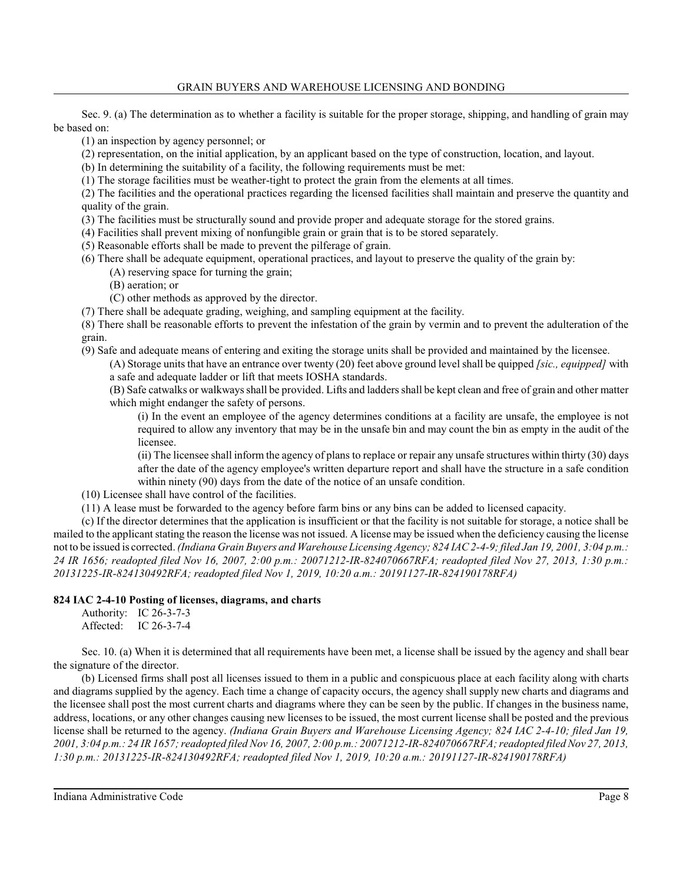Sec. 9. (a) The determination as to whether a facility is suitable for the proper storage, shipping, and handling of grain may be based on:

(1) an inspection by agency personnel; or

(2) representation, on the initial application, by an applicant based on the type of construction, location, and layout.

(b) In determining the suitability of a facility, the following requirements must be met:

(1) The storage facilities must be weather-tight to protect the grain from the elements at all times.

(2) The facilities and the operational practices regarding the licensed facilities shall maintain and preserve the quantity and quality of the grain.

(3) The facilities must be structurally sound and provide proper and adequate storage for the stored grains.

(4) Facilities shall prevent mixing of nonfungible grain or grain that is to be stored separately.

(5) Reasonable efforts shall be made to prevent the pilferage of grain.

- (6) There shall be adequate equipment, operational practices, and layout to preserve the quality of the grain by:
	- (A) reserving space for turning the grain;

(B) aeration; or

(C) other methods as approved by the director.

(7) There shall be adequate grading, weighing, and sampling equipment at the facility.

(8) There shall be reasonable efforts to prevent the infestation of the grain by vermin and to prevent the adulteration of the grain.

(9) Safe and adequate means of entering and exiting the storage units shall be provided and maintained by the licensee.

(A) Storage units that have an entrance over twenty (20) feet above ground level shall be quipped *[sic., equipped]* with a safe and adequate ladder or lift that meets IOSHA standards.

(B) Safe catwalks or walkways shall be provided. Lifts and ladders shall be kept clean and free of grain and other matter which might endanger the safety of persons.

(i) In the event an employee of the agency determines conditions at a facility are unsafe, the employee is not required to allow any inventory that may be in the unsafe bin and may count the bin as empty in the audit of the licensee.

(ii) The licensee shall inform the agency of plans to replace or repair any unsafe structures within thirty (30) days after the date of the agency employee's written departure report and shall have the structure in a safe condition within ninety (90) days from the date of the notice of an unsafe condition.

(10) Licensee shall have control of the facilities.

(11) A lease must be forwarded to the agency before farm bins or any bins can be added to licensed capacity.

(c) If the director determines that the application is insufficient or that the facility is not suitable for storage, a notice shall be mailed to the applicant stating the reason the license was not issued. A license may be issued when the deficiency causing the license not to be issued is corrected. *(Indiana Grain Buyers and Warehouse Licensing Agency; 824 IAC 2-4-9;filed Jan 19, 2001, 3:04 p.m.: 24 IR 1656; readopted filed Nov 16, 2007, 2:00 p.m.: 20071212-IR-824070667RFA; readopted filed Nov 27, 2013, 1:30 p.m.: 20131225-IR-824130492RFA; readopted filed Nov 1, 2019, 10:20 a.m.: 20191127-IR-824190178RFA)*

## **824 IAC 2-4-10 Posting of licenses, diagrams, and charts**

Authority: IC 26-3-7-3 Affected: IC 26-3-7-4

Sec. 10. (a) When it is determined that all requirements have been met, a license shall be issued by the agency and shall bear the signature of the director.

(b) Licensed firms shall post all licenses issued to them in a public and conspicuous place at each facility along with charts and diagrams supplied by the agency. Each time a change of capacity occurs, the agency shall supply new charts and diagrams and the licensee shall post the most current charts and diagrams where they can be seen by the public. If changes in the business name, address, locations, or any other changes causing new licenses to be issued, the most current license shall be posted and the previous license shall be returned to the agency. *(Indiana Grain Buyers and Warehouse Licensing Agency; 824 IAC 2-4-10; filed Jan 19, 2001, 3:04 p.m.: 24 IR 1657; readopted filed Nov 16, 2007, 2:00 p.m.: 20071212-IR-824070667RFA; readopted filed Nov 27, 2013, 1:30 p.m.: 20131225-IR-824130492RFA; readopted filed Nov 1, 2019, 10:20 a.m.: 20191127-IR-824190178RFA)*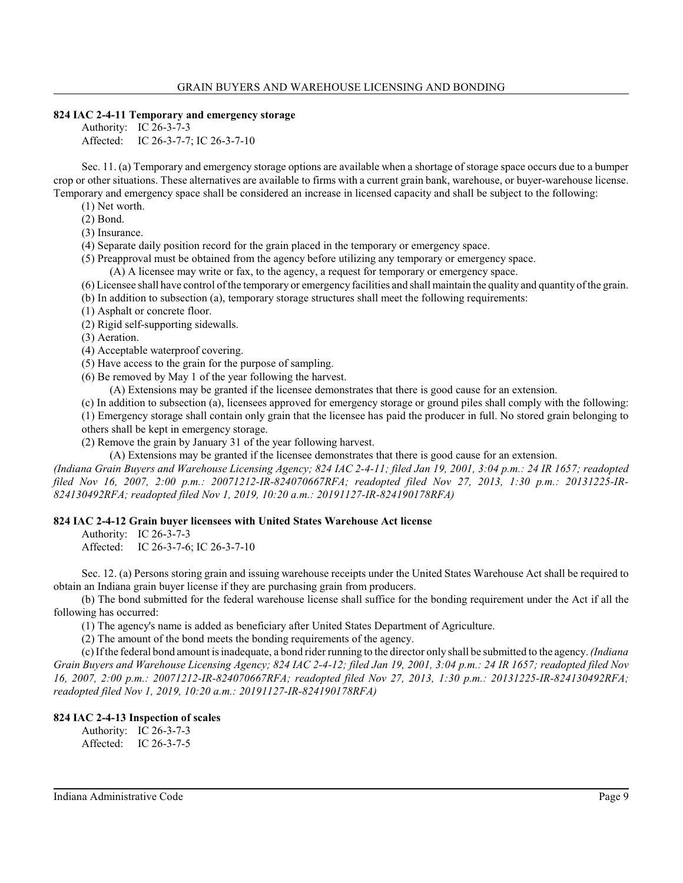#### **824 IAC 2-4-11 Temporary and emergency storage**

Authority: IC 26-3-7-3 Affected: IC 26-3-7-7; IC 26-3-7-10

Sec. 11. (a) Temporary and emergency storage options are available when a shortage of storage space occurs due to a bumper crop or other situations. These alternatives are available to firms with a current grain bank, warehouse, or buyer-warehouse license. Temporary and emergency space shall be considered an increase in licensed capacity and shall be subject to the following:

(1) Net worth.

(2) Bond.

(3) Insurance.

(4) Separate daily position record for the grain placed in the temporary or emergency space.

(5) Preapproval must be obtained from the agency before utilizing any temporary or emergency space.

(A) A licensee may write or fax, to the agency, a request for temporary or emergency space.

(6) Licensee shall have control of the temporary or emergency facilities and shall maintain the quality and quantity of the grain.

- (b) In addition to subsection (a), temporary storage structures shall meet the following requirements:
- (1) Asphalt or concrete floor.

(2) Rigid self-supporting sidewalls.

(3) Aeration.

(4) Acceptable waterproof covering.

- (5) Have access to the grain for the purpose of sampling.
- (6) Be removed by May 1 of the year following the harvest.

(A) Extensions may be granted if the licensee demonstrates that there is good cause for an extension.

(c) In addition to subsection (a), licensees approved for emergency storage or ground piles shall comply with the following:

(1) Emergency storage shall contain only grain that the licensee has paid the producer in full. No stored grain belonging to others shall be kept in emergency storage.

(2) Remove the grain by January 31 of the year following harvest.

(A) Extensions may be granted if the licensee demonstrates that there is good cause for an extension.

*(Indiana Grain Buyers and Warehouse Licensing Agency; 824 IAC 2-4-11; filed Jan 19, 2001, 3:04 p.m.: 24 IR 1657; readopted filed Nov 16, 2007, 2:00 p.m.: 20071212-IR-824070667RFA; readopted filed Nov 27, 2013, 1:30 p.m.: 20131225-IR-824130492RFA; readopted filed Nov 1, 2019, 10:20 a.m.: 20191127-IR-824190178RFA)*

## **824 IAC 2-4-12 Grain buyer licensees with United States Warehouse Act license**

Authority: IC 26-3-7-3

Affected: IC 26-3-7-6; IC 26-3-7-10

Sec. 12. (a) Persons storing grain and issuing warehouse receipts under the United States Warehouse Act shall be required to obtain an Indiana grain buyer license if they are purchasing grain from producers.

(b) The bond submitted for the federal warehouse license shall suffice for the bonding requirement under the Act if all the following has occurred:

(1) The agency's name is added as beneficiary after United States Department of Agriculture.

(2) The amount of the bond meets the bonding requirements of the agency.

(c) If the federal bond amount is inadequate, a bond rider running to the director only shall be submitted to the agency. *(Indiana Grain Buyers and Warehouse Licensing Agency; 824 IAC 2-4-12; filed Jan 19, 2001, 3:04 p.m.: 24 IR 1657; readopted filed Nov 16, 2007, 2:00 p.m.: 20071212-IR-824070667RFA; readopted filed Nov 27, 2013, 1:30 p.m.: 20131225-IR-824130492RFA; readopted filed Nov 1, 2019, 10:20 a.m.: 20191127-IR-824190178RFA)*

## **824 IAC 2-4-13 Inspection of scales**

Authority: IC 26-3-7-3 Affected: IC 26-3-7-5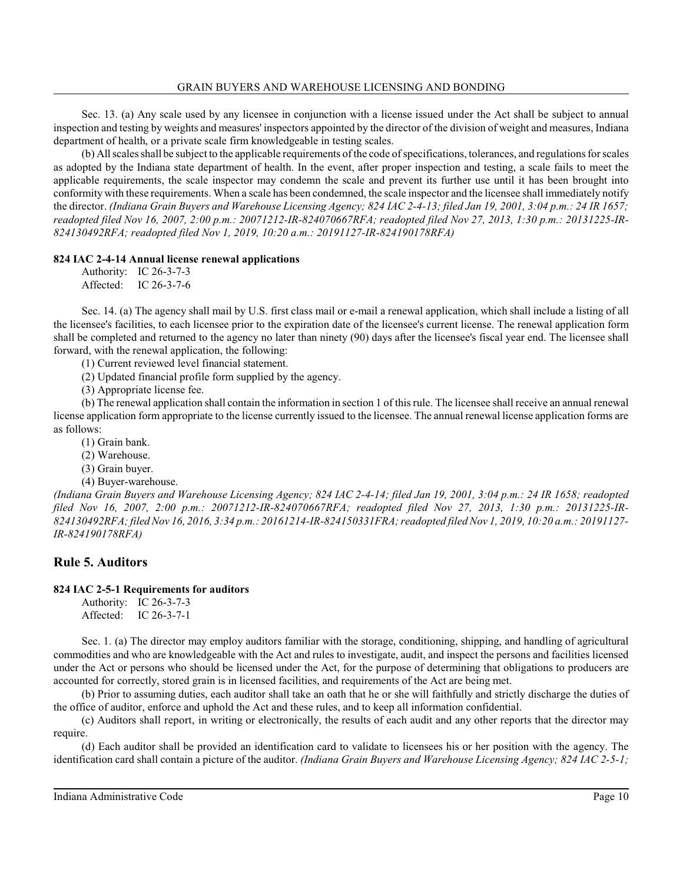Sec. 13. (a) Any scale used by any licensee in conjunction with a license issued under the Act shall be subject to annual inspection and testing by weights and measures' inspectors appointed by the director of the division of weight and measures, Indiana department of health, or a private scale firm knowledgeable in testing scales.

(b) All scales shall be subject to the applicable requirements of the code of specifications, tolerances, and regulationsfor scales as adopted by the Indiana state department of health. In the event, after proper inspection and testing, a scale fails to meet the applicable requirements, the scale inspector may condemn the scale and prevent its further use until it has been brought into conformity with these requirements. When a scale has been condemned, the scale inspector and the licensee shall immediately notify the director. *(Indiana Grain Buyers and Warehouse Licensing Agency; 824 IAC 2-4-13; filed Jan 19, 2001, 3:04 p.m.: 24 IR 1657; readopted filed Nov 16, 2007, 2:00 p.m.: 20071212-IR-824070667RFA; readopted filed Nov 27, 2013, 1:30 p.m.: 20131225-IR-824130492RFA; readopted filed Nov 1, 2019, 10:20 a.m.: 20191127-IR-824190178RFA)*

#### **824 IAC 2-4-14 Annual license renewal applications**

Authority: IC 26-3-7-3 Affected: IC 26-3-7-6

Sec. 14. (a) The agency shall mail by U.S. first class mail or e-mail a renewal application, which shall include a listing of all the licensee's facilities, to each licensee prior to the expiration date of the licensee's current license. The renewal application form shall be completed and returned to the agency no later than ninety (90) days after the licensee's fiscal year end. The licensee shall forward, with the renewal application, the following:

(1) Current reviewed level financial statement.

(2) Updated financial profile form supplied by the agency.

(3) Appropriate license fee.

(b) The renewal application shall contain the information in section 1 of thisrule. The licensee shall receive an annual renewal license application form appropriate to the license currently issued to the licensee. The annual renewal license application forms are as follows:

(1) Grain bank.

(2) Warehouse.

(3) Grain buyer.

(4) Buyer-warehouse.

*(Indiana Grain Buyers and Warehouse Licensing Agency; 824 IAC 2-4-14; filed Jan 19, 2001, 3:04 p.m.: 24 IR 1658; readopted filed Nov 16, 2007, 2:00 p.m.: 20071212-IR-824070667RFA; readopted filed Nov 27, 2013, 1:30 p.m.: 20131225-IR-824130492RFA; filed Nov 16, 2016, 3:34 p.m.: 20161214-IR-824150331FRA; readopted filed Nov 1, 2019, 10:20 a.m.: 20191127- IR-824190178RFA)*

## **Rule 5. Auditors**

## **824 IAC 2-5-1 Requirements for auditors**

Authority: IC 26-3-7-3 Affected: IC 26-3-7-1

Sec. 1. (a) The director may employ auditors familiar with the storage, conditioning, shipping, and handling of agricultural commodities and who are knowledgeable with the Act and rules to investigate, audit, and inspect the persons and facilities licensed under the Act or persons who should be licensed under the Act, for the purpose of determining that obligations to producers are accounted for correctly, stored grain is in licensed facilities, and requirements of the Act are being met.

(b) Prior to assuming duties, each auditor shall take an oath that he or she will faithfully and strictly discharge the duties of the office of auditor, enforce and uphold the Act and these rules, and to keep all information confidential.

(c) Auditors shall report, in writing or electronically, the results of each audit and any other reports that the director may require.

(d) Each auditor shall be provided an identification card to validate to licensees his or her position with the agency. The identification card shall contain a picture of the auditor. *(Indiana Grain Buyers and Warehouse Licensing Agency; 824 IAC 2-5-1;*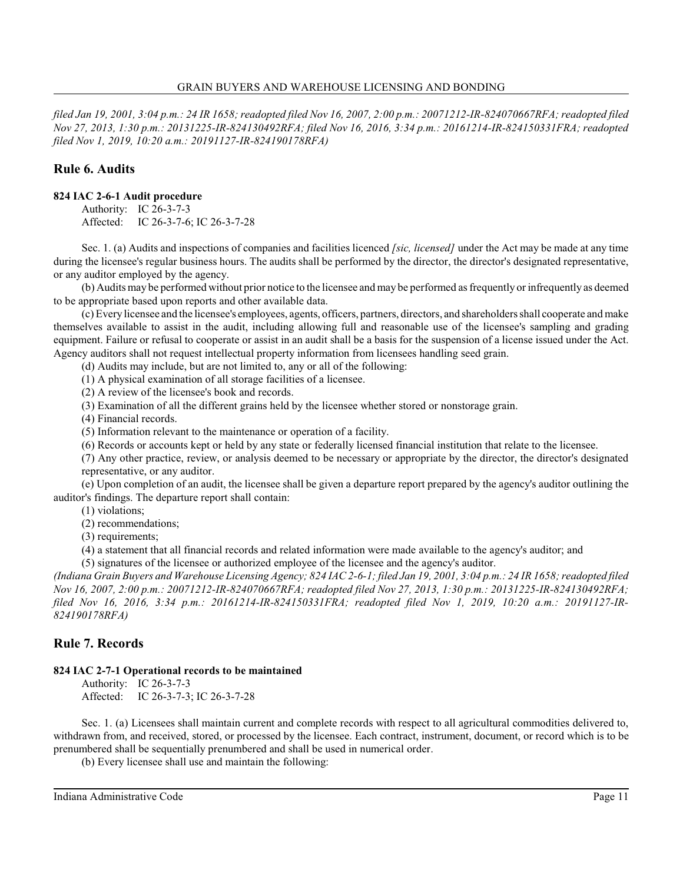*filed Jan 19, 2001, 3:04 p.m.: 24 IR 1658; readopted filed Nov 16, 2007, 2:00 p.m.: 20071212-IR-824070667RFA; readopted filed Nov 27, 2013, 1:30 p.m.: 20131225-IR-824130492RFA; filed Nov 16, 2016, 3:34 p.m.: 20161214-IR-824150331FRA; readopted filed Nov 1, 2019, 10:20 a.m.: 20191127-IR-824190178RFA)*

## **Rule 6. Audits**

## **824 IAC 2-6-1 Audit procedure**

Authority: IC 26-3-7-3 Affected: IC 26-3-7-6; IC 26-3-7-28

Sec. 1. (a) Audits and inspections of companies and facilities licenced *[sic, licensed]* under the Act may be made at any time during the licensee's regular business hours. The audits shall be performed by the director, the director's designated representative, or any auditor employed by the agency.

(b) Audits may be performed without prior notice to the licensee and may be performed as frequently or infrequently as deemed to be appropriate based upon reports and other available data.

(c) Every licensee and the licensee's employees, agents, officers, partners, directors, and shareholders shall cooperate and make themselves available to assist in the audit, including allowing full and reasonable use of the licensee's sampling and grading equipment. Failure or refusal to cooperate or assist in an audit shall be a basis for the suspension of a license issued under the Act. Agency auditors shall not request intellectual property information from licensees handling seed grain.

(d) Audits may include, but are not limited to, any or all of the following:

(1) A physical examination of all storage facilities of a licensee.

(2) A review of the licensee's book and records.

(3) Examination of all the different grains held by the licensee whether stored or nonstorage grain.

(4) Financial records.

(5) Information relevant to the maintenance or operation of a facility.

(6) Records or accounts kept or held by any state or federally licensed financial institution that relate to the licensee.

(7) Any other practice, review, or analysis deemed to be necessary or appropriate by the director, the director's designated representative, or any auditor.

(e) Upon completion of an audit, the licensee shall be given a departure report prepared by the agency's auditor outlining the auditor's findings. The departure report shall contain:

(1) violations;

(2) recommendations;

(3) requirements;

(4) a statement that all financial records and related information were made available to the agency's auditor; and

(5) signatures of the licensee or authorized employee of the licensee and the agency's auditor.

*(Indiana Grain Buyers and Warehouse Licensing Agency; 824 IAC 2-6-1; filed Jan 19, 2001, 3:04 p.m.: 24 IR 1658; readopted filed Nov 16, 2007, 2:00 p.m.: 20071212-IR-824070667RFA; readopted filed Nov 27, 2013, 1:30 p.m.: 20131225-IR-824130492RFA; filed Nov 16, 2016, 3:34 p.m.: 20161214-IR-824150331FRA; readopted filed Nov 1, 2019, 10:20 a.m.: 20191127-IR-824190178RFA)*

## **Rule 7. Records**

## **824 IAC 2-7-1 Operational records to be maintained**

Authority: IC 26-3-7-3 Affected: IC 26-3-7-3; IC 26-3-7-28

Sec. 1. (a) Licensees shall maintain current and complete records with respect to all agricultural commodities delivered to, withdrawn from, and received, stored, or processed by the licensee. Each contract, instrument, document, or record which is to be prenumbered shall be sequentially prenumbered and shall be used in numerical order.

(b) Every licensee shall use and maintain the following: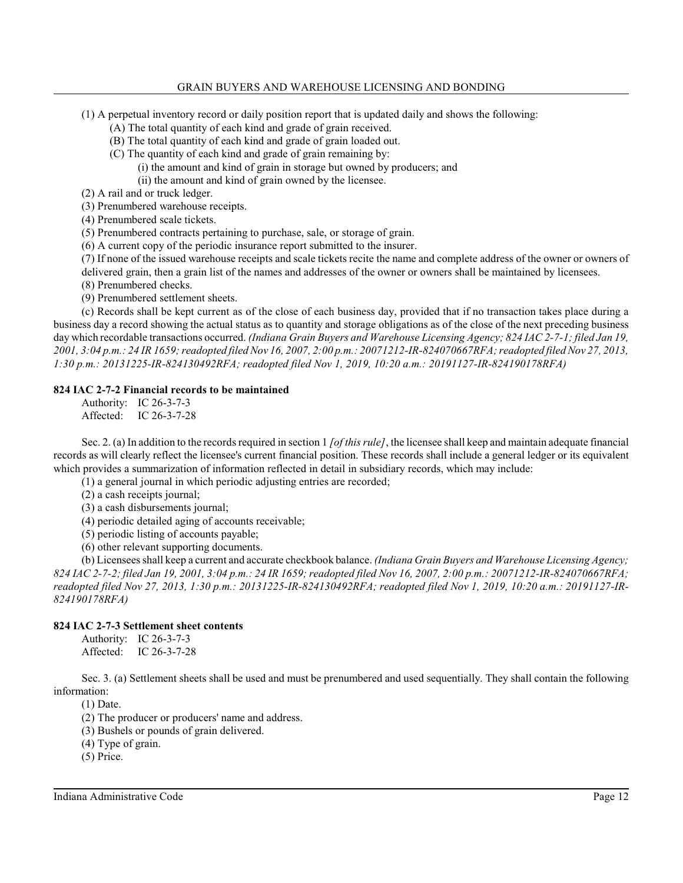- (1) A perpetual inventory record or daily position report that is updated daily and shows the following:
	- (A) The total quantity of each kind and grade of grain received.
	- (B) The total quantity of each kind and grade of grain loaded out.
	- (C) The quantity of each kind and grade of grain remaining by:
		- (i) the amount and kind of grain in storage but owned by producers; and
		- (ii) the amount and kind of grain owned by the licensee.

(2) A rail and or truck ledger.

(3) Prenumbered warehouse receipts.

- (4) Prenumbered scale tickets.
- (5) Prenumbered contracts pertaining to purchase, sale, or storage of grain.
- (6) A current copy of the periodic insurance report submitted to the insurer.
- (7) If none of the issued warehouse receipts and scale tickets recite the name and complete address of the owner or owners of
- delivered grain, then a grain list of the names and addresses of the owner or owners shall be maintained by licensees.
- (8) Prenumbered checks.
- (9) Prenumbered settlement sheets.

(c) Records shall be kept current as of the close of each business day, provided that if no transaction takes place during a business day a record showing the actual status as to quantity and storage obligations as of the close of the next preceding business day which recordable transactions occurred. *(Indiana Grain Buyers and Warehouse Licensing Agency; 824 IAC 2-7-1; filed Jan 19, 2001, 3:04 p.m.: 24 IR 1659; readopted filed Nov 16, 2007, 2:00 p.m.: 20071212-IR-824070667RFA; readopted filed Nov 27, 2013, 1:30 p.m.: 20131225-IR-824130492RFA; readopted filed Nov 1, 2019, 10:20 a.m.: 20191127-IR-824190178RFA)*

## **824 IAC 2-7-2 Financial records to be maintained**

Authority: IC 26-3-7-3 Affected: IC 26-3-7-28

Sec. 2. (a) In addition to the records required in section 1 *[of this rule]*, the licensee shall keep and maintain adequate financial records as will clearly reflect the licensee's current financial position. These records shall include a general ledger or its equivalent which provides a summarization of information reflected in detail in subsidiary records, which may include:

(1) a general journal in which periodic adjusting entries are recorded;

- (2) a cash receipts journal;
- (3) a cash disbursements journal;
- (4) periodic detailed aging of accounts receivable;
- (5) periodic listing of accounts payable;
- (6) other relevant supporting documents.

(b) Licensees shall keep a current and accurate checkbook balance. *(Indiana Grain Buyers and Warehouse Licensing Agency; 824 IAC 2-7-2; filed Jan 19, 2001, 3:04 p.m.: 24 IR 1659; readopted filed Nov 16, 2007, 2:00 p.m.: 20071212-IR-824070667RFA; readopted filed Nov 27, 2013, 1:30 p.m.: 20131225-IR-824130492RFA; readopted filed Nov 1, 2019, 10:20 a.m.: 20191127-IR-824190178RFA)*

#### **824 IAC 2-7-3 Settlement sheet contents**

Authority: IC 26-3-7-3 Affected: IC 26-3-7-28

Sec. 3. (a) Settlement sheets shall be used and must be prenumbered and used sequentially. They shall contain the following information:

(1) Date.

(2) The producer or producers' name and address.

- (3) Bushels or pounds of grain delivered.
- (4) Type of grain.
- (5) Price.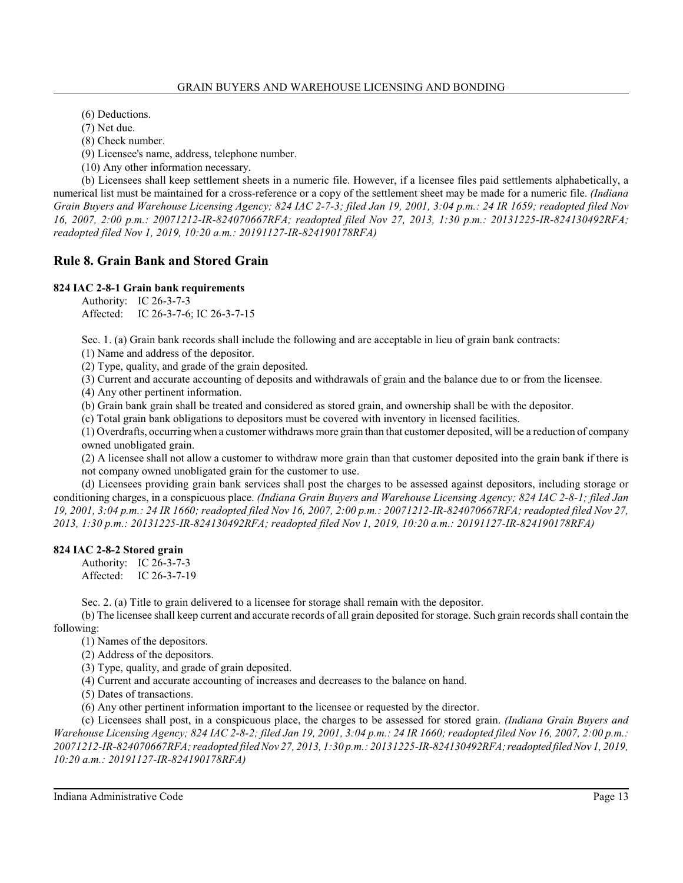(6) Deductions.

(7) Net due.

(8) Check number.

(9) Licensee's name, address, telephone number.

(10) Any other information necessary.

(b) Licensees shall keep settlement sheets in a numeric file. However, if a licensee files paid settlements alphabetically, a numerical list must be maintained for a cross-reference or a copy of the settlement sheet may be made for a numeric file. *(Indiana Grain Buyers and Warehouse Licensing Agency; 824 IAC 2-7-3; filed Jan 19, 2001, 3:04 p.m.: 24 IR 1659; readopted filed Nov 16, 2007, 2:00 p.m.: 20071212-IR-824070667RFA; readopted filed Nov 27, 2013, 1:30 p.m.: 20131225-IR-824130492RFA; readopted filed Nov 1, 2019, 10:20 a.m.: 20191127-IR-824190178RFA)*

## **Rule 8. Grain Bank and Stored Grain**

## **824 IAC 2-8-1 Grain bank requirements**

Authority: IC 26-3-7-3 Affected: IC 26-3-7-6; IC 26-3-7-15

Sec. 1. (a) Grain bank records shall include the following and are acceptable in lieu of grain bank contracts:

(1) Name and address of the depositor.

(2) Type, quality, and grade of the grain deposited.

(3) Current and accurate accounting of deposits and withdrawals of grain and the balance due to or from the licensee.

(4) Any other pertinent information.

(b) Grain bank grain shall be treated and considered as stored grain, and ownership shall be with the depositor.

(c) Total grain bank obligations to depositors must be covered with inventory in licensed facilities.

(1) Overdrafts, occurring when a customer withdraws more grain than that customer deposited, will be a reduction of company owned unobligated grain.

(2) A licensee shall not allow a customer to withdraw more grain than that customer deposited into the grain bank if there is not company owned unobligated grain for the customer to use.

(d) Licensees providing grain bank services shall post the charges to be assessed against depositors, including storage or conditioning charges, in a conspicuous place. *(Indiana Grain Buyers and Warehouse Licensing Agency; 824 IAC 2-8-1; filed Jan 19, 2001, 3:04 p.m.: 24 IR 1660; readopted filed Nov 16, 2007, 2:00 p.m.: 20071212-IR-824070667RFA; readopted filed Nov 27, 2013, 1:30 p.m.: 20131225-IR-824130492RFA; readopted filed Nov 1, 2019, 10:20 a.m.: 20191127-IR-824190178RFA)*

## **824 IAC 2-8-2 Stored grain**

Authority: IC 26-3-7-3 Affected: IC 26-3-7-19

Sec. 2. (a) Title to grain delivered to a licensee for storage shall remain with the depositor.

(b) The licensee shall keep current and accurate records of all grain deposited for storage. Such grain records shall contain the following:

(1) Names of the depositors.

(2) Address of the depositors.

(3) Type, quality, and grade of grain deposited.

(4) Current and accurate accounting of increases and decreases to the balance on hand.

(5) Dates of transactions.

(6) Any other pertinent information important to the licensee or requested by the director.

(c) Licensees shall post, in a conspicuous place, the charges to be assessed for stored grain. *(Indiana Grain Buyers and Warehouse Licensing Agency; 824 IAC 2-8-2; filed Jan 19, 2001, 3:04 p.m.: 24 IR 1660; readopted filed Nov 16, 2007, 2:00 p.m.: 20071212-IR-824070667RFA; readopted filed Nov 27, 2013, 1:30 p.m.: 20131225-IR-824130492RFA;readopted filed Nov 1, 2019, 10:20 a.m.: 20191127-IR-824190178RFA)*

Indiana Administrative Code Page 13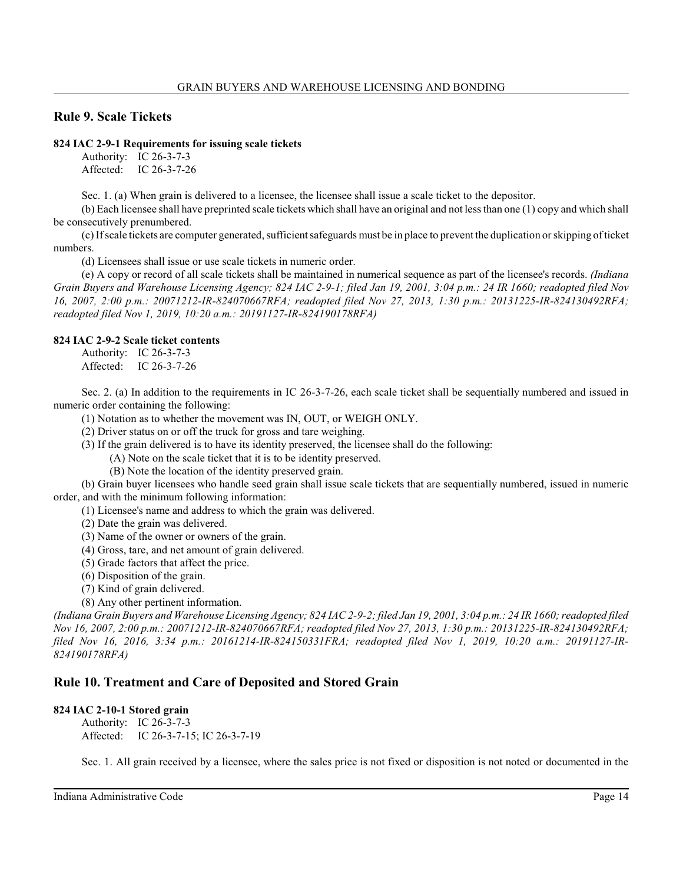## **Rule 9. Scale Tickets**

## **824 IAC 2-9-1 Requirements for issuing scale tickets**

Authority: IC 26-3-7-3 Affected: IC 26-3-7-26

Sec. 1. (a) When grain is delivered to a licensee, the licensee shall issue a scale ticket to the depositor.

(b) Each licensee shall have preprinted scale tickets which shall have an original and not less than one (1) copy and which shall be consecutively prenumbered.

(c) If scale tickets are computer generated, sufficient safeguards must be in place to prevent the duplication orskipping of ticket numbers.

(d) Licensees shall issue or use scale tickets in numeric order.

(e) A copy or record of all scale tickets shall be maintained in numerical sequence as part of the licensee's records. *(Indiana Grain Buyers and Warehouse Licensing Agency; 824 IAC 2-9-1; filed Jan 19, 2001, 3:04 p.m.: 24 IR 1660; readopted filed Nov 16, 2007, 2:00 p.m.: 20071212-IR-824070667RFA; readopted filed Nov 27, 2013, 1:30 p.m.: 20131225-IR-824130492RFA; readopted filed Nov 1, 2019, 10:20 a.m.: 20191127-IR-824190178RFA)*

## **824 IAC 2-9-2 Scale ticket contents**

Authority: IC 26-3-7-3 Affected: IC 26-3-7-26

Sec. 2. (a) In addition to the requirements in IC 26-3-7-26, each scale ticket shall be sequentially numbered and issued in numeric order containing the following:

(1) Notation as to whether the movement was IN, OUT, or WEIGH ONLY.

(2) Driver status on or off the truck for gross and tare weighing.

(3) If the grain delivered is to have its identity preserved, the licensee shall do the following:

(A) Note on the scale ticket that it is to be identity preserved.

(B) Note the location of the identity preserved grain.

(b) Grain buyer licensees who handle seed grain shall issue scale tickets that are sequentially numbered, issued in numeric order, and with the minimum following information:

(1) Licensee's name and address to which the grain was delivered.

(2) Date the grain was delivered.

(3) Name of the owner or owners of the grain.

(4) Gross, tare, and net amount of grain delivered.

(5) Grade factors that affect the price.

(6) Disposition of the grain.

(7) Kind of grain delivered.

(8) Any other pertinent information.

*(Indiana Grain Buyers and Warehouse Licensing Agency; 824 IAC 2-9-2; filed Jan 19, 2001, 3:04 p.m.: 24 IR 1660; readopted filed Nov 16, 2007, 2:00 p.m.: 20071212-IR-824070667RFA; readopted filed Nov 27, 2013, 1:30 p.m.: 20131225-IR-824130492RFA; filed Nov 16, 2016, 3:34 p.m.: 20161214-IR-824150331FRA; readopted filed Nov 1, 2019, 10:20 a.m.: 20191127-IR-824190178RFA)*

## **Rule 10. Treatment and Care of Deposited and Stored Grain**

## **824 IAC 2-10-1 Stored grain**

Authority: IC 26-3-7-3 Affected: IC 26-3-7-15; IC 26-3-7-19

Sec. 1. All grain received by a licensee, where the sales price is not fixed or disposition is not noted or documented in the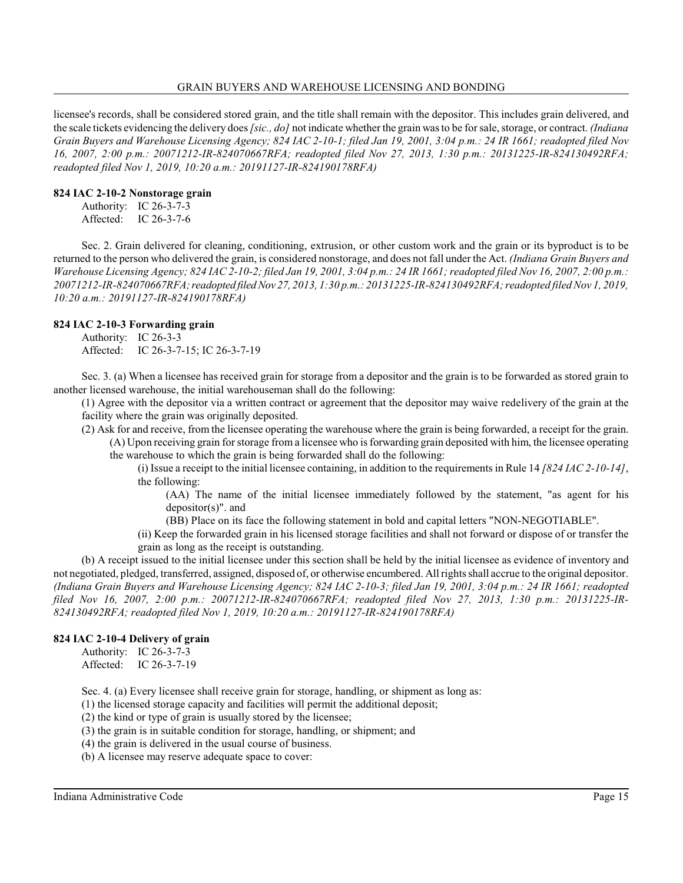licensee's records, shall be considered stored grain, and the title shall remain with the depositor. This includes grain delivered, and the scale tickets evidencing the delivery does *[sic., do]* not indicate whether the grain was to be for sale, storage, or contract. *(Indiana Grain Buyers and Warehouse Licensing Agency; 824 IAC 2-10-1; filed Jan 19, 2001, 3:04 p.m.: 24 IR 1661; readopted filed Nov 16, 2007, 2:00 p.m.: 20071212-IR-824070667RFA; readopted filed Nov 27, 2013, 1:30 p.m.: 20131225-IR-824130492RFA; readopted filed Nov 1, 2019, 10:20 a.m.: 20191127-IR-824190178RFA)*

#### **824 IAC 2-10-2 Nonstorage grain**

Authority: IC 26-3-7-3 Affected: IC 26-3-7-6

Sec. 2. Grain delivered for cleaning, conditioning, extrusion, or other custom work and the grain or its byproduct is to be returned to the person who delivered the grain, is considered nonstorage, and does not fall under the Act. *(Indiana Grain Buyers and Warehouse Licensing Agency; 824 IAC 2-10-2; filed Jan 19, 2001, 3:04 p.m.: 24 IR 1661; readopted filed Nov 16, 2007, 2:00 p.m.: 20071212-IR-824070667RFA;readopted filed Nov 27, 2013, 1:30 p.m.: 20131225-IR-824130492RFA; readopted filed Nov 1, 2019, 10:20 a.m.: 20191127-IR-824190178RFA)*

#### **824 IAC 2-10-3 Forwarding grain**

Authority: IC 26-3-3 Affected: IC 26-3-7-15; IC 26-3-7-19

Sec. 3. (a) When a licensee has received grain for storage from a depositor and the grain is to be forwarded as stored grain to another licensed warehouse, the initial warehouseman shall do the following:

(1) Agree with the depositor via a written contract or agreement that the depositor may waive redelivery of the grain at the facility where the grain was originally deposited.

(2) Ask for and receive, from the licensee operating the warehouse where the grain is being forwarded, a receipt for the grain. (A) Upon receiving grain for storage from a licensee who is forwarding grain deposited with him, the licensee operating the warehouse to which the grain is being forwarded shall do the following:

(i) Issue a receipt to the initial licensee containing, in addition to the requirements in Rule 14 *[824 IAC 2-10-14]*, the following:

(AA) The name of the initial licensee immediately followed by the statement, "as agent for his depositor(s)". and

(BB) Place on its face the following statement in bold and capital letters "NON-NEGOTIABLE".

(ii) Keep the forwarded grain in his licensed storage facilities and shall not forward or dispose of or transfer the grain as long as the receipt is outstanding.

(b) A receipt issued to the initial licensee under this section shall be held by the initial licensee as evidence of inventory and not negotiated, pledged, transferred, assigned, disposed of, or otherwise encumbered. All rightsshall accrue to the original depositor. *(Indiana Grain Buyers and Warehouse Licensing Agency; 824 IAC 2-10-3; filed Jan 19, 2001, 3:04 p.m.: 24 IR 1661; readopted filed Nov 16, 2007, 2:00 p.m.: 20071212-IR-824070667RFA; readopted filed Nov 27, 2013, 1:30 p.m.: 20131225-IR-824130492RFA; readopted filed Nov 1, 2019, 10:20 a.m.: 20191127-IR-824190178RFA)*

## **824 IAC 2-10-4 Delivery of grain**

Authority: IC 26-3-7-3 Affected: IC 26-3-7-19

Sec. 4. (a) Every licensee shall receive grain for storage, handling, or shipment as long as:

(1) the licensed storage capacity and facilities will permit the additional deposit;

(2) the kind or type of grain is usually stored by the licensee;

(3) the grain is in suitable condition for storage, handling, or shipment; and

(4) the grain is delivered in the usual course of business.

(b) A licensee may reserve adequate space to cover: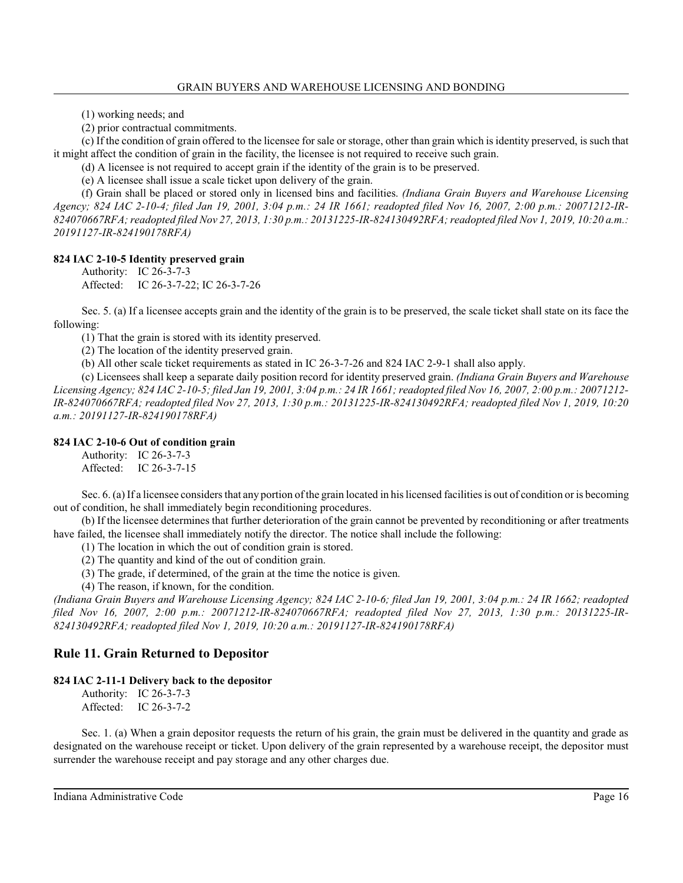(1) working needs; and

(2) prior contractual commitments.

(c) If the condition of grain offered to the licensee for sale or storage, other than grain which is identity preserved, is such that it might affect the condition of grain in the facility, the licensee is not required to receive such grain.

(d) A licensee is not required to accept grain if the identity of the grain is to be preserved.

(e) A licensee shall issue a scale ticket upon delivery of the grain.

(f) Grain shall be placed or stored only in licensed bins and facilities. *(Indiana Grain Buyers and Warehouse Licensing Agency; 824 IAC 2-10-4; filed Jan 19, 2001, 3:04 p.m.: 24 IR 1661; readopted filed Nov 16, 2007, 2:00 p.m.: 20071212-IR-824070667RFA; readopted filed Nov 27, 2013, 1:30 p.m.: 20131225-IR-824130492RFA; readopted filed Nov 1, 2019, 10:20 a.m.: 20191127-IR-824190178RFA)*

**824 IAC 2-10-5 Identity preserved grain**

Authority: IC 26-3-7-3 Affected: IC 26-3-7-22; IC 26-3-7-26

Sec. 5. (a) If a licensee accepts grain and the identity of the grain is to be preserved, the scale ticket shall state on its face the following:

(1) That the grain is stored with its identity preserved.

(2) The location of the identity preserved grain.

(b) All other scale ticket requirements as stated in IC 26-3-7-26 and 824 IAC 2-9-1 shall also apply.

(c) Licensees shall keep a separate daily position record for identity preserved grain. *(Indiana Grain Buyers and Warehouse Licensing Agency; 824 IAC 2-10-5; filed Jan 19, 2001, 3:04 p.m.: 24 IR 1661; readopted filed Nov 16, 2007, 2:00 p.m.: 20071212- IR-824070667RFA; readopted filed Nov 27, 2013, 1:30 p.m.: 20131225-IR-824130492RFA; readopted filed Nov 1, 2019, 10:20 a.m.: 20191127-IR-824190178RFA)*

## **824 IAC 2-10-6 Out of condition grain**

Authority: IC 26-3-7-3 Affected: IC 26-3-7-15

Sec. 6. (a) If a licensee considers that any portion of the grain located in his licensed facilities is out of condition or is becoming out of condition, he shall immediately begin reconditioning procedures.

(b) If the licensee determines that further deterioration of the grain cannot be prevented by reconditioning or after treatments have failed, the licensee shall immediately notify the director. The notice shall include the following:

(1) The location in which the out of condition grain is stored.

(2) The quantity and kind of the out of condition grain.

- (3) The grade, if determined, of the grain at the time the notice is given.
- (4) The reason, if known, for the condition.

*(Indiana Grain Buyers and Warehouse Licensing Agency; 824 IAC 2-10-6; filed Jan 19, 2001, 3:04 p.m.: 24 IR 1662; readopted filed Nov 16, 2007, 2:00 p.m.: 20071212-IR-824070667RFA; readopted filed Nov 27, 2013, 1:30 p.m.: 20131225-IR-824130492RFA; readopted filed Nov 1, 2019, 10:20 a.m.: 20191127-IR-824190178RFA)*

## **Rule 11. Grain Returned to Depositor**

## **824 IAC 2-11-1 Delivery back to the depositor**

Authority: IC 26-3-7-3 Affected: IC 26-3-7-2

Sec. 1. (a) When a grain depositor requests the return of his grain, the grain must be delivered in the quantity and grade as designated on the warehouse receipt or ticket. Upon delivery of the grain represented by a warehouse receipt, the depositor must surrender the warehouse receipt and pay storage and any other charges due.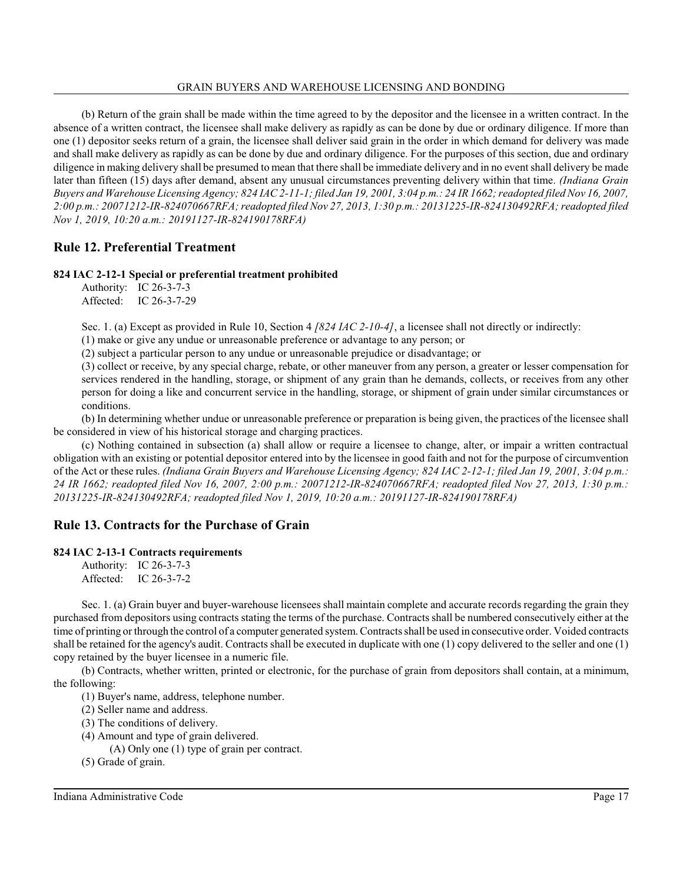(b) Return of the grain shall be made within the time agreed to by the depositor and the licensee in a written contract. In the absence of a written contract, the licensee shall make delivery as rapidly as can be done by due or ordinary diligence. If more than one (1) depositor seeks return of a grain, the licensee shall deliver said grain in the order in which demand for delivery was made and shall make delivery as rapidly as can be done by due and ordinary diligence. For the purposes of this section, due and ordinary diligence in making delivery shall be presumed to mean that there shall be immediate delivery and in no event shall delivery be made later than fifteen (15) days after demand, absent any unusual circumstances preventing delivery within that time. *(Indiana Grain Buyers and Warehouse Licensing Agency; 824 IAC 2-11-1; filed Jan 19, 2001, 3:04 p.m.: 24 IR 1662; readopted filed Nov 16, 2007, 2:00 p.m.: 20071212-IR-824070667RFA; readopted filed Nov 27, 2013, 1:30 p.m.: 20131225-IR-824130492RFA; readopted filed Nov 1, 2019, 10:20 a.m.: 20191127-IR-824190178RFA)*

## **Rule 12. Preferential Treatment**

#### **824 IAC 2-12-1 Special or preferential treatment prohibited**

Authority: IC 26-3-7-3 Affected: IC 26-3-7-29

Sec. 1. (a) Except as provided in Rule 10, Section 4 *[824 IAC 2-10-4]*, a licensee shall not directly or indirectly:

(1) make or give any undue or unreasonable preference or advantage to any person; or

(2) subject a particular person to any undue or unreasonable prejudice or disadvantage; or

(3) collect or receive, by any special charge, rebate, or other maneuver from any person, a greater or lesser compensation for services rendered in the handling, storage, or shipment of any grain than he demands, collects, or receives from any other person for doing a like and concurrent service in the handling, storage, or shipment of grain under similar circumstances or conditions.

(b) In determining whether undue or unreasonable preference or preparation is being given, the practices of the licensee shall be considered in view of his historical storage and charging practices.

(c) Nothing contained in subsection (a) shall allow or require a licensee to change, alter, or impair a written contractual obligation with an existing or potential depositor entered into by the licensee in good faith and not for the purpose of circumvention of the Act or these rules. *(Indiana Grain Buyers and Warehouse Licensing Agency; 824 IAC 2-12-1; filed Jan 19, 2001, 3:04 p.m.: 24 IR 1662; readopted filed Nov 16, 2007, 2:00 p.m.: 20071212-IR-824070667RFA; readopted filed Nov 27, 2013, 1:30 p.m.: 20131225-IR-824130492RFA; readopted filed Nov 1, 2019, 10:20 a.m.: 20191127-IR-824190178RFA)*

## **Rule 13. Contracts for the Purchase of Grain**

## **824 IAC 2-13-1 Contracts requirements**

Authority: IC 26-3-7-3 Affected: IC 26-3-7-2

Sec. 1. (a) Grain buyer and buyer-warehouse licensees shall maintain complete and accurate records regarding the grain they purchased from depositors using contracts stating the terms of the purchase. Contracts shall be numbered consecutively either at the time of printing or through the control of a computer generated system. Contracts shall be used in consecutive order. Voided contracts shall be retained for the agency's audit. Contracts shall be executed in duplicate with one (1) copy delivered to the seller and one (1) copy retained by the buyer licensee in a numeric file.

(b) Contracts, whether written, printed or electronic, for the purchase of grain from depositors shall contain, at a minimum, the following:

(1) Buyer's name, address, telephone number.

(2) Seller name and address.

(3) The conditions of delivery.

(4) Amount and type of grain delivered.

(A) Only one (1) type of grain per contract.

(5) Grade of grain.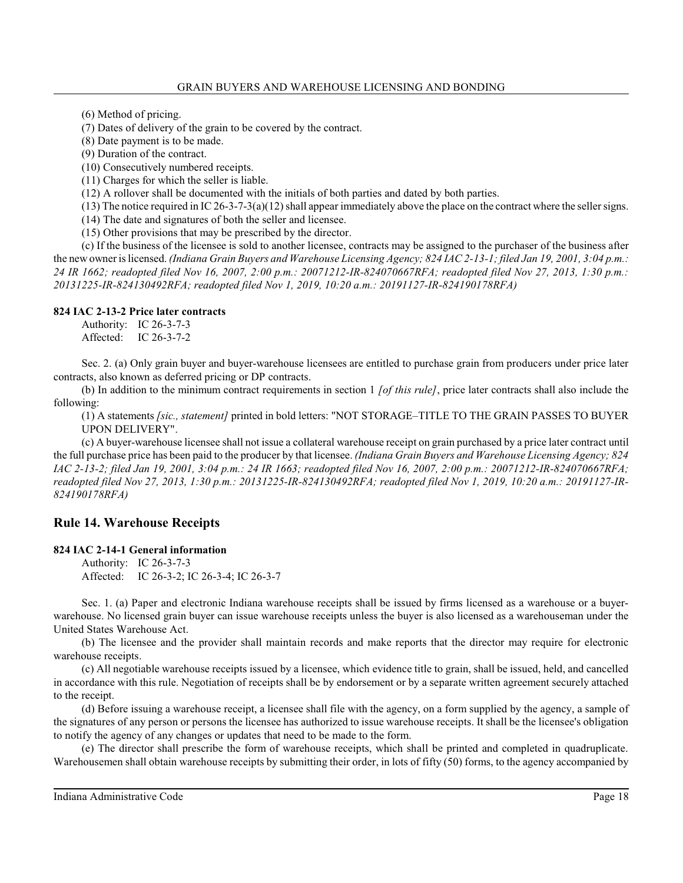(6) Method of pricing.

(7) Dates of delivery of the grain to be covered by the contract.

(8) Date payment is to be made.

(9) Duration of the contract.

(10) Consecutively numbered receipts.

(11) Charges for which the seller is liable.

(12) A rollover shall be documented with the initials of both parties and dated by both parties.

 $(13)$  The notice required in IC 26-3-7-3(a)(12) shall appear immediately above the place on the contract where the seller signs.

(14) The date and signatures of both the seller and licensee.

(15) Other provisions that may be prescribed by the director.

(c) If the business of the licensee is sold to another licensee, contracts may be assigned to the purchaser of the business after the new owner is licensed. *(Indiana Grain Buyers and Warehouse Licensing Agency; 824 IAC 2-13-1; filed Jan 19, 2001, 3:04 p.m.: 24 IR 1662; readopted filed Nov 16, 2007, 2:00 p.m.: 20071212-IR-824070667RFA; readopted filed Nov 27, 2013, 1:30 p.m.: 20131225-IR-824130492RFA; readopted filed Nov 1, 2019, 10:20 a.m.: 20191127-IR-824190178RFA)*

#### **824 IAC 2-13-2 Price later contracts**

Authority: IC 26-3-7-3 Affected: IC 26-3-7-2

Sec. 2. (a) Only grain buyer and buyer-warehouse licensees are entitled to purchase grain from producers under price later contracts, also known as deferred pricing or DP contracts.

(b) In addition to the minimum contract requirements in section 1 *[of this rule]*, price later contracts shall also include the following:

(1) A statements *[sic., statement]* printed in bold letters: "NOT STORAGE–TITLE TO THE GRAIN PASSES TO BUYER UPON DELIVERY".

(c) A buyer-warehouse licensee shall not issue a collateral warehouse receipt on grain purchased by a price later contract until the full purchase price has been paid to the producer by that licensee. *(Indiana Grain Buyers and Warehouse Licensing Agency; 824 IAC 2-13-2; filed Jan 19, 2001, 3:04 p.m.: 24 IR 1663; readopted filed Nov 16, 2007, 2:00 p.m.: 20071212-IR-824070667RFA; readopted filed Nov 27, 2013, 1:30 p.m.: 20131225-IR-824130492RFA; readopted filed Nov 1, 2019, 10:20 a.m.: 20191127-IR-824190178RFA)*

## **Rule 14. Warehouse Receipts**

## **824 IAC 2-14-1 General information**

Authority: IC 26-3-7-3 Affected: IC 26-3-2; IC 26-3-4; IC 26-3-7

Sec. 1. (a) Paper and electronic Indiana warehouse receipts shall be issued by firms licensed as a warehouse or a buyerwarehouse. No licensed grain buyer can issue warehouse receipts unless the buyer is also licensed as a warehouseman under the United States Warehouse Act.

(b) The licensee and the provider shall maintain records and make reports that the director may require for electronic warehouse receipts.

(c) All negotiable warehouse receipts issued by a licensee, which evidence title to grain, shall be issued, held, and cancelled in accordance with this rule. Negotiation of receipts shall be by endorsement or by a separate written agreement securely attached to the receipt.

(d) Before issuing a warehouse receipt, a licensee shall file with the agency, on a form supplied by the agency, a sample of the signatures of any person or persons the licensee has authorized to issue warehouse receipts. It shall be the licensee's obligation to notify the agency of any changes or updates that need to be made to the form.

(e) The director shall prescribe the form of warehouse receipts, which shall be printed and completed in quadruplicate. Warehousemen shall obtain warehouse receipts by submitting their order, in lots of fifty (50) forms, to the agency accompanied by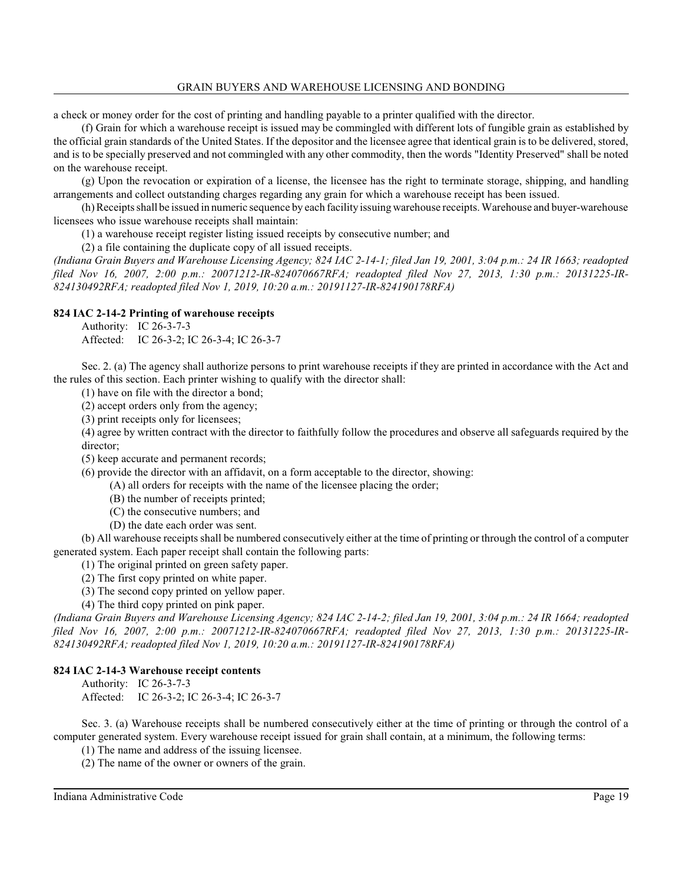a check or money order for the cost of printing and handling payable to a printer qualified with the director.

(f) Grain for which a warehouse receipt is issued may be commingled with different lots of fungible grain as established by the official grain standards of the United States. If the depositor and the licensee agree that identical grain is to be delivered, stored, and is to be specially preserved and not commingled with any other commodity, then the words "Identity Preserved" shall be noted on the warehouse receipt.

(g) Upon the revocation or expiration of a license, the licensee has the right to terminate storage, shipping, and handling arrangements and collect outstanding charges regarding any grain for which a warehouse receipt has been issued.

(h) Receiptsshall be issued in numeric sequence by each facility issuing warehouse receipts.Warehouse and buyer-warehouse licensees who issue warehouse receipts shall maintain:

(1) a warehouse receipt register listing issued receipts by consecutive number; and

(2) a file containing the duplicate copy of all issued receipts.

*(Indiana Grain Buyers and Warehouse Licensing Agency; 824 IAC 2-14-1; filed Jan 19, 2001, 3:04 p.m.: 24 IR 1663; readopted filed Nov 16, 2007, 2:00 p.m.: 20071212-IR-824070667RFA; readopted filed Nov 27, 2013, 1:30 p.m.: 20131225-IR-824130492RFA; readopted filed Nov 1, 2019, 10:20 a.m.: 20191127-IR-824190178RFA)*

#### **824 IAC 2-14-2 Printing of warehouse receipts**

Authority: IC 26-3-7-3

Affected: IC 26-3-2; IC 26-3-4; IC 26-3-7

Sec. 2. (a) The agency shall authorize persons to print warehouse receipts if they are printed in accordance with the Act and the rules of this section. Each printer wishing to qualify with the director shall:

(1) have on file with the director a bond;

(2) accept orders only from the agency;

(3) print receipts only for licensees;

(4) agree by written contract with the director to faithfully follow the procedures and observe all safeguards required by the director;

(5) keep accurate and permanent records;

(6) provide the director with an affidavit, on a form acceptable to the director, showing:

(A) all orders for receipts with the name of the licensee placing the order;

- (B) the number of receipts printed;
- (C) the consecutive numbers; and
- (D) the date each order was sent.

(b) All warehouse receipts shall be numbered consecutively either at the time of printing or through the control of a computer generated system. Each paper receipt shall contain the following parts:

(1) The original printed on green safety paper.

(2) The first copy printed on white paper.

(3) The second copy printed on yellow paper.

(4) The third copy printed on pink paper.

*(Indiana Grain Buyers and Warehouse Licensing Agency; 824 IAC 2-14-2; filed Jan 19, 2001, 3:04 p.m.: 24 IR 1664; readopted filed Nov 16, 2007, 2:00 p.m.: 20071212-IR-824070667RFA; readopted filed Nov 27, 2013, 1:30 p.m.: 20131225-IR-824130492RFA; readopted filed Nov 1, 2019, 10:20 a.m.: 20191127-IR-824190178RFA)*

## **824 IAC 2-14-3 Warehouse receipt contents**

Authority: IC 26-3-7-3

Affected: IC 26-3-2; IC 26-3-4; IC 26-3-7

Sec. 3. (a) Warehouse receipts shall be numbered consecutively either at the time of printing or through the control of a computer generated system. Every warehouse receipt issued for grain shall contain, at a minimum, the following terms:

(1) The name and address of the issuing licensee.

(2) The name of the owner or owners of the grain.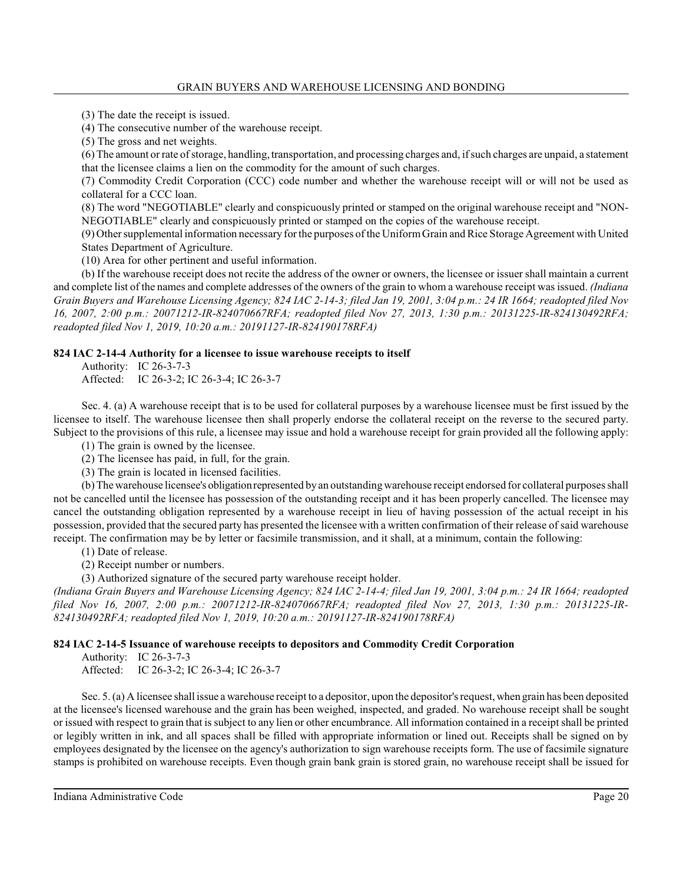(3) The date the receipt is issued.

(4) The consecutive number of the warehouse receipt.

(5) The gross and net weights.

(6) The amount or rate ofstorage, handling, transportation, and processing charges and, ifsuch charges are unpaid, a statement that the licensee claims a lien on the commodity for the amount of such charges.

(7) Commodity Credit Corporation (CCC) code number and whether the warehouse receipt will or will not be used as collateral for a CCC loan.

(8) The word "NEGOTIABLE" clearly and conspicuously printed or stamped on the original warehouse receipt and "NON-NEGOTIABLE" clearly and conspicuously printed or stamped on the copies of the warehouse receipt.

(9) Othersupplemental information necessary forthe purposes of the UniformGrain and Rice Storage Agreement with United States Department of Agriculture.

(10) Area for other pertinent and useful information.

(b) If the warehouse receipt does not recite the address of the owner or owners, the licensee or issuer shall maintain a current and complete list of the names and complete addresses of the owners of the grain to whom a warehouse receipt wasissued. *(Indiana Grain Buyers and Warehouse Licensing Agency; 824 IAC 2-14-3; filed Jan 19, 2001, 3:04 p.m.: 24 IR 1664; readopted filed Nov 16, 2007, 2:00 p.m.: 20071212-IR-824070667RFA; readopted filed Nov 27, 2013, 1:30 p.m.: 20131225-IR-824130492RFA; readopted filed Nov 1, 2019, 10:20 a.m.: 20191127-IR-824190178RFA)*

## **824 IAC 2-14-4 Authority for a licensee to issue warehouse receipts to itself**

Authority: IC 26-3-7-3 Affected: IC 26-3-2; IC 26-3-4; IC 26-3-7

Sec. 4. (a) A warehouse receipt that is to be used for collateral purposes by a warehouse licensee must be first issued by the licensee to itself. The warehouse licensee then shall properly endorse the collateral receipt on the reverse to the secured party. Subject to the provisions of this rule, a licensee may issue and hold a warehouse receipt for grain provided all the following apply:

(1) The grain is owned by the licensee.

(2) The licensee has paid, in full, for the grain.

(3) The grain is located in licensed facilities.

(b) The warehouse licensee's obligationrepresented by an outstanding warehouse receipt endorsed for collateral purposesshall not be cancelled until the licensee has possession of the outstanding receipt and it has been properly cancelled. The licensee may cancel the outstanding obligation represented by a warehouse receipt in lieu of having possession of the actual receipt in his possession, provided that the secured party has presented the licensee with a written confirmation of their release of said warehouse receipt. The confirmation may be by letter or facsimile transmission, and it shall, at a minimum, contain the following:

(1) Date of release.

(2) Receipt number or numbers.

(3) Authorized signature of the secured party warehouse receipt holder.

*(Indiana Grain Buyers and Warehouse Licensing Agency; 824 IAC 2-14-4; filed Jan 19, 2001, 3:04 p.m.: 24 IR 1664; readopted filed Nov 16, 2007, 2:00 p.m.: 20071212-IR-824070667RFA; readopted filed Nov 27, 2013, 1:30 p.m.: 20131225-IR-824130492RFA; readopted filed Nov 1, 2019, 10:20 a.m.: 20191127-IR-824190178RFA)*

## **824 IAC 2-14-5 Issuance of warehouse receipts to depositors and Commodity Credit Corporation**

Authority: IC 26-3-7-3

Affected: IC 26-3-2; IC 26-3-4; IC 26-3-7

Sec. 5. (a) A licensee shall issue a warehouse receipt to a depositor, upon the depositor's request, when grain has been deposited at the licensee's licensed warehouse and the grain has been weighed, inspected, and graded. No warehouse receipt shall be sought or issued with respect to grain that is subject to any lien or other encumbrance. All information contained in a receipt shall be printed or legibly written in ink, and all spaces shall be filled with appropriate information or lined out. Receipts shall be signed on by employees designated by the licensee on the agency's authorization to sign warehouse receipts form. The use of facsimile signature stamps is prohibited on warehouse receipts. Even though grain bank grain is stored grain, no warehouse receipt shall be issued for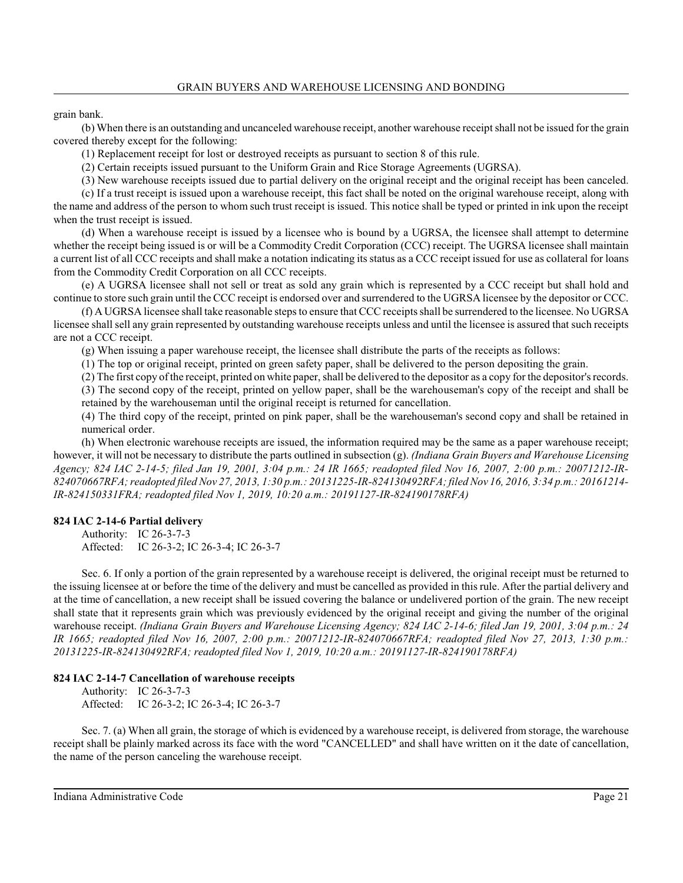grain bank.

(b) When there is an outstanding and uncanceled warehouse receipt, another warehouse receipt shall not be issued for the grain covered thereby except for the following:

(1) Replacement receipt for lost or destroyed receipts as pursuant to section 8 of this rule.

(2) Certain receipts issued pursuant to the Uniform Grain and Rice Storage Agreements (UGRSA).

(3) New warehouse receipts issued due to partial delivery on the original receipt and the original receipt has been canceled.

(c) If a trust receipt is issued upon a warehouse receipt, this fact shall be noted on the original warehouse receipt, along with the name and address of the person to whom such trust receipt is issued. This notice shall be typed or printed in ink upon the receipt when the trust receipt is issued.

(d) When a warehouse receipt is issued by a licensee who is bound by a UGRSA, the licensee shall attempt to determine whether the receipt being issued is or will be a Commodity Credit Corporation (CCC) receipt. The UGRSA licensee shall maintain a current list of all CCC receipts and shall make a notation indicating its status as a CCC receipt issued for use as collateral for loans from the Commodity Credit Corporation on all CCC receipts.

(e) A UGRSA licensee shall not sell or treat as sold any grain which is represented by a CCC receipt but shall hold and continue to store such grain until the CCC receipt is endorsed over and surrendered to the UGRSA licensee by the depositor or CCC.

(f) A UGRSA licensee shall take reasonable steps to ensure that CCC receipts shall be surrendered to the licensee. No UGRSA licensee shall sell any grain represented by outstanding warehouse receipts unless and until the licensee is assured that such receipts are not a CCC receipt.

(g) When issuing a paper warehouse receipt, the licensee shall distribute the parts of the receipts as follows:

(1) The top or original receipt, printed on green safety paper, shall be delivered to the person depositing the grain.

(2) The first copy of the receipt, printed on white paper, shall be delivered to the depositor as a copy for the depositor's records. (3) The second copy of the receipt, printed on yellow paper, shall be the warehouseman's copy of the receipt and shall be

retained by the warehouseman until the original receipt is returned for cancellation.

(4) The third copy of the receipt, printed on pink paper, shall be the warehouseman's second copy and shall be retained in numerical order.

(h) When electronic warehouse receipts are issued, the information required may be the same as a paper warehouse receipt; however, it will not be necessary to distribute the parts outlined in subsection (g). *(Indiana Grain Buyers and Warehouse Licensing Agency; 824 IAC 2-14-5; filed Jan 19, 2001, 3:04 p.m.: 24 IR 1665; readopted filed Nov 16, 2007, 2:00 p.m.: 20071212-IR-824070667RFA; readopted filed Nov 27, 2013, 1:30 p.m.: 20131225-IR-824130492RFA; filed Nov 16, 2016, 3:34 p.m.: 20161214- IR-824150331FRA; readopted filed Nov 1, 2019, 10:20 a.m.: 20191127-IR-824190178RFA)*

## **824 IAC 2-14-6 Partial delivery**

Authority: IC 26-3-7-3 Affected: IC 26-3-2; IC 26-3-4; IC 26-3-7

Sec. 6. If only a portion of the grain represented by a warehouse receipt is delivered, the original receipt must be returned to the issuing licensee at or before the time of the delivery and must be cancelled as provided in thisrule. After the partial delivery and at the time of cancellation, a new receipt shall be issued covering the balance or undelivered portion of the grain. The new receipt shall state that it represents grain which was previously evidenced by the original receipt and giving the number of the original warehouse receipt. *(Indiana Grain Buyers and Warehouse Licensing Agency; 824 IAC 2-14-6; filed Jan 19, 2001, 3:04 p.m.: 24 IR 1665; readopted filed Nov 16, 2007, 2:00 p.m.: 20071212-IR-824070667RFA; readopted filed Nov 27, 2013, 1:30 p.m.: 20131225-IR-824130492RFA; readopted filed Nov 1, 2019, 10:20 a.m.: 20191127-IR-824190178RFA)*

## **824 IAC 2-14-7 Cancellation of warehouse receipts**

Authority: IC 26-3-7-3 Affected: IC 26-3-2; IC 26-3-4; IC 26-3-7

Sec. 7. (a) When all grain, the storage of which is evidenced by a warehouse receipt, is delivered from storage, the warehouse receipt shall be plainly marked across its face with the word "CANCELLED" and shall have written on it the date of cancellation, the name of the person canceling the warehouse receipt.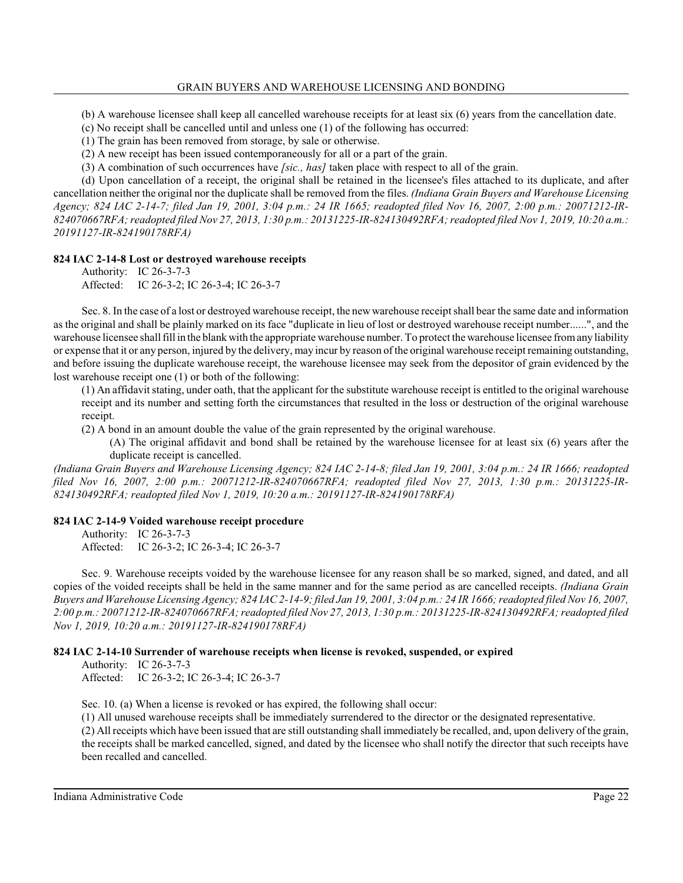(b) A warehouse licensee shall keep all cancelled warehouse receipts for at least six (6) years from the cancellation date.

(c) No receipt shall be cancelled until and unless one (1) of the following has occurred:

(1) The grain has been removed from storage, by sale or otherwise.

(2) A new receipt has been issued contemporaneously for all or a part of the grain.

(3) A combination of such occurrences have *[sic., has]* taken place with respect to all of the grain.

(d) Upon cancellation of a receipt, the original shall be retained in the licensee's files attached to its duplicate, and after cancellation neither the original nor the duplicate shall be removed from the files. *(Indiana Grain Buyers and Warehouse Licensing Agency; 824 IAC 2-14-7; filed Jan 19, 2001, 3:04 p.m.: 24 IR 1665; readopted filed Nov 16, 2007, 2:00 p.m.: 20071212-IR-824070667RFA; readopted filed Nov 27, 2013, 1:30 p.m.: 20131225-IR-824130492RFA; readopted filed Nov 1, 2019, 10:20 a.m.: 20191127-IR-824190178RFA)*

## **824 IAC 2-14-8 Lost or destroyed warehouse receipts**

Authority: IC 26-3-7-3 Affected: IC 26-3-2; IC 26-3-4; IC 26-3-7

Sec. 8. In the case of a lost or destroyed warehouse receipt, the newwarehouse receipt shall bear the same date and information as the original and shall be plainly marked on its face "duplicate in lieu of lost or destroyed warehouse receipt number......", and the warehouse licensee shall fill in the blank with the appropriate warehouse number. To protect the warehouse licensee fromany liability or expense that it or any person, injured by the delivery, may incur by reason of the original warehouse receipt remaining outstanding, and before issuing the duplicate warehouse receipt, the warehouse licensee may seek from the depositor of grain evidenced by the lost warehouse receipt one (1) or both of the following:

(1) An affidavit stating, under oath, that the applicant for the substitute warehouse receipt is entitled to the original warehouse receipt and its number and setting forth the circumstances that resulted in the loss or destruction of the original warehouse receipt.

(2) A bond in an amount double the value of the grain represented by the original warehouse.

(A) The original affidavit and bond shall be retained by the warehouse licensee for at least six (6) years after the duplicate receipt is cancelled.

*(Indiana Grain Buyers and Warehouse Licensing Agency; 824 IAC 2-14-8; filed Jan 19, 2001, 3:04 p.m.: 24 IR 1666; readopted filed Nov 16, 2007, 2:00 p.m.: 20071212-IR-824070667RFA; readopted filed Nov 27, 2013, 1:30 p.m.: 20131225-IR-824130492RFA; readopted filed Nov 1, 2019, 10:20 a.m.: 20191127-IR-824190178RFA)*

## **824 IAC 2-14-9 Voided warehouse receipt procedure**

Authority: IC 26-3-7-3 Affected: IC 26-3-2; IC 26-3-4; IC 26-3-7

Sec. 9. Warehouse receipts voided by the warehouse licensee for any reason shall be so marked, signed, and dated, and all copies of the voided receipts shall be held in the same manner and for the same period as are cancelled receipts. *(Indiana Grain Buyers and Warehouse Licensing Agency; 824 IAC 2-14-9; filed Jan 19, 2001, 3:04 p.m.: 24 IR 1666; readopted filed Nov 16, 2007, 2:00 p.m.: 20071212-IR-824070667RFA; readopted filed Nov 27, 2013, 1:30 p.m.: 20131225-IR-824130492RFA; readopted filed Nov 1, 2019, 10:20 a.m.: 20191127-IR-824190178RFA)*

## **824 IAC 2-14-10 Surrender of warehouse receipts when license is revoked, suspended, or expired**

Authority: IC 26-3-7-3

Affected: IC 26-3-2; IC 26-3-4; IC 26-3-7

Sec. 10. (a) When a license is revoked or has expired, the following shall occur:

(1) All unused warehouse receipts shall be immediately surrendered to the director or the designated representative.

(2) All receipts which have been issued that are still outstanding shall immediately be recalled, and, upon delivery of the grain, the receipts shall be marked cancelled, signed, and dated by the licensee who shall notify the director that such receipts have been recalled and cancelled.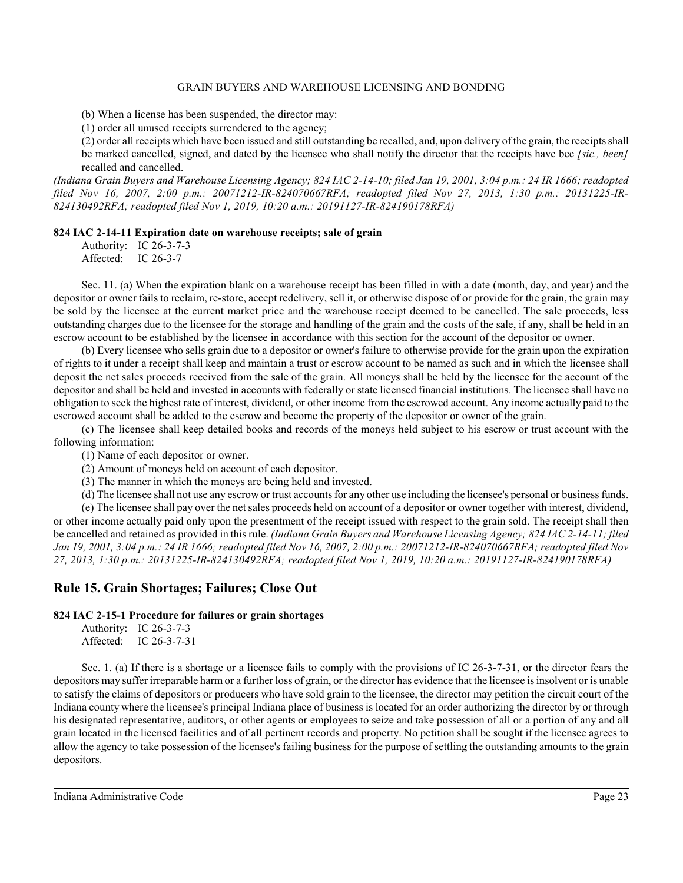(b) When a license has been suspended, the director may:

(1) order all unused receipts surrendered to the agency;

(2) order all receipts which have been issued and still outstanding be recalled, and, upon delivery of the grain, the receipts shall be marked cancelled, signed, and dated by the licensee who shall notify the director that the receipts have bee *[sic., been]* recalled and cancelled.

*(Indiana Grain Buyers and Warehouse Licensing Agency; 824 IAC 2-14-10; filed Jan 19, 2001, 3:04 p.m.: 24 IR 1666; readopted filed Nov 16, 2007, 2:00 p.m.: 20071212-IR-824070667RFA; readopted filed Nov 27, 2013, 1:30 p.m.: 20131225-IR-824130492RFA; readopted filed Nov 1, 2019, 10:20 a.m.: 20191127-IR-824190178RFA)*

#### **824 IAC 2-14-11 Expiration date on warehouse receipts; sale of grain**

Authority: IC 26-3-7-3 Affected: IC 26-3-7

Sec. 11. (a) When the expiration blank on a warehouse receipt has been filled in with a date (month, day, and year) and the depositor or owner fails to reclaim, re-store, accept redelivery, sell it, or otherwise dispose of or provide for the grain, the grain may be sold by the licensee at the current market price and the warehouse receipt deemed to be cancelled. The sale proceeds, less outstanding charges due to the licensee for the storage and handling of the grain and the costs of the sale, if any, shall be held in an escrow account to be established by the licensee in accordance with this section for the account of the depositor or owner.

(b) Every licensee who sells grain due to a depositor or owner's failure to otherwise provide for the grain upon the expiration of rights to it under a receipt shall keep and maintain a trust or escrow account to be named as such and in which the licensee shall deposit the net sales proceeds received from the sale of the grain. All moneys shall be held by the licensee for the account of the depositor and shall be held and invested in accounts with federally or state licensed financial institutions. The licensee shall have no obligation to seek the highest rate of interest, dividend, or other income from the escrowed account. Any income actually paid to the escrowed account shall be added to the escrow and become the property of the depositor or owner of the grain.

(c) The licensee shall keep detailed books and records of the moneys held subject to his escrow or trust account with the following information:

(1) Name of each depositor or owner.

(2) Amount of moneys held on account of each depositor.

(3) The manner in which the moneys are being held and invested.

(d) The licensee shall not use any escrow or trust accounts for any other use including the licensee's personal or business funds.

(e) The licensee shall pay over the net sales proceeds held on account of a depositor or owner together with interest, dividend, or other income actually paid only upon the presentment of the receipt issued with respect to the grain sold. The receipt shall then be cancelled and retained as provided in thisrule. *(Indiana Grain Buyers and Warehouse Licensing Agency; 824 IAC 2-14-11; filed Jan 19, 2001, 3:04 p.m.: 24 IR 1666; readopted filed Nov 16, 2007, 2:00 p.m.: 20071212-IR-824070667RFA; readopted filed Nov 27, 2013, 1:30 p.m.: 20131225-IR-824130492RFA; readopted filed Nov 1, 2019, 10:20 a.m.: 20191127-IR-824190178RFA)*

## **Rule 15. Grain Shortages; Failures; Close Out**

#### **824 IAC 2-15-1 Procedure for failures or grain shortages**

Authority: IC 26-3-7-3 Affected: IC 26-3-7-31

Sec. 1. (a) If there is a shortage or a licensee fails to comply with the provisions of IC 26-3-7-31, or the director fears the depositors may suffer irreparable harm or a further loss of grain, or the director has evidence that the licensee is insolvent or is unable to satisfy the claims of depositors or producers who have sold grain to the licensee, the director may petition the circuit court of the Indiana county where the licensee's principal Indiana place of business is located for an order authorizing the director by or through his designated representative, auditors, or other agents or employees to seize and take possession of all or a portion of any and all grain located in the licensed facilities and of all pertinent records and property. No petition shall be sought if the licensee agrees to allow the agency to take possession of the licensee's failing business for the purpose of settling the outstanding amounts to the grain depositors.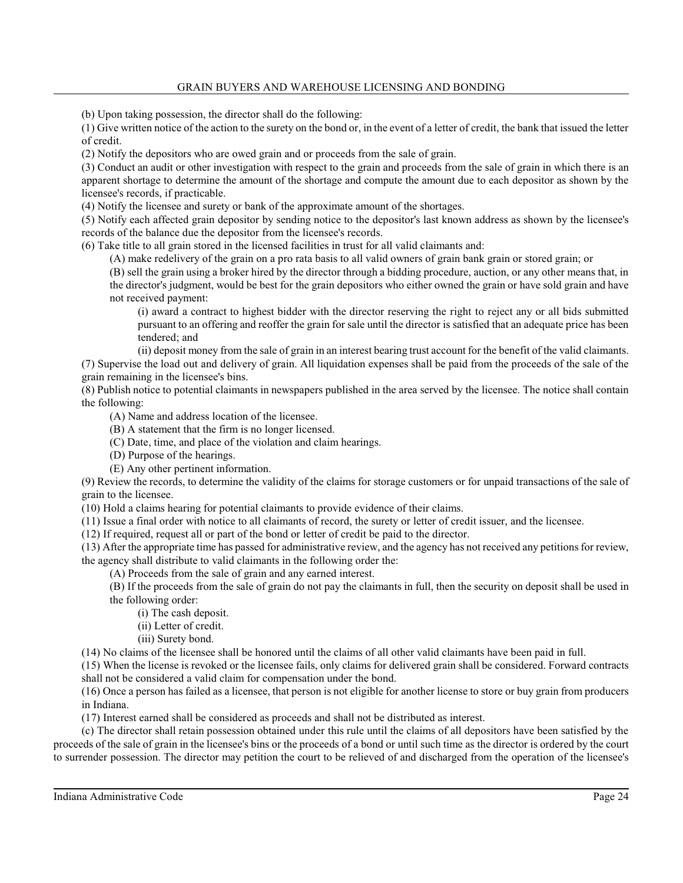(b) Upon taking possession, the director shall do the following:

(1) Give written notice of the action to the surety on the bond or, in the event of a letter of credit, the bank that issued the letter of credit.

(2) Notify the depositors who are owed grain and or proceeds from the sale of grain.

(3) Conduct an audit or other investigation with respect to the grain and proceeds from the sale of grain in which there is an apparent shortage to determine the amount of the shortage and compute the amount due to each depositor as shown by the licensee's records, if practicable.

(4) Notify the licensee and surety or bank of the approximate amount of the shortages.

(5) Notify each affected grain depositor by sending notice to the depositor's last known address as shown by the licensee's records of the balance due the depositor from the licensee's records.

(6) Take title to all grain stored in the licensed facilities in trust for all valid claimants and:

(A) make redelivery of the grain on a pro rata basis to all valid owners of grain bank grain or stored grain; or

(B) sell the grain using a broker hired by the director through a bidding procedure, auction, or any other means that, in the director's judgment, would be best for the grain depositors who either owned the grain or have sold grain and have not received payment:

(i) award a contract to highest bidder with the director reserving the right to reject any or all bids submitted pursuant to an offering and reoffer the grain for sale until the director is satisfied that an adequate price has been tendered; and

(ii) deposit money from the sale of grain in an interest bearing trust account for the benefit of the valid claimants. (7) Supervise the load out and delivery of grain. All liquidation expenses shall be paid from the proceeds of the sale of the grain remaining in the licensee's bins.

(8) Publish notice to potential claimants in newspapers published in the area served by the licensee. The notice shall contain the following:

(A) Name and address location of the licensee.

(B) A statement that the firm is no longer licensed.

(C) Date, time, and place of the violation and claim hearings.

(D) Purpose of the hearings.

(E) Any other pertinent information.

(9) Review the records, to determine the validity of the claims for storage customers or for unpaid transactions of the sale of grain to the licensee.

(10) Hold a claims hearing for potential claimants to provide evidence of their claims.

(11) Issue a final order with notice to all claimants of record, the surety or letter of credit issuer, and the licensee.

(12) If required, request all or part of the bond or letter of credit be paid to the director.

(13) After the appropriate time has passed for administrative review, and the agency has not received any petitions for review, the agency shall distribute to valid claimants in the following order the:

(A) Proceeds from the sale of grain and any earned interest.

(B) If the proceeds from the sale of grain do not pay the claimants in full, then the security on deposit shall be used in the following order:

(i) The cash deposit.

(ii) Letter of credit.

(iii) Surety bond.

(14) No claims of the licensee shall be honored until the claims of all other valid claimants have been paid in full.

(15) When the license is revoked or the licensee fails, only claims for delivered grain shall be considered. Forward contracts shall not be considered a valid claim for compensation under the bond.

(16) Once a person has failed as a licensee, that person is not eligible for another license to store or buy grain from producers in Indiana.

(17) Interest earned shall be considered as proceeds and shall not be distributed as interest.

(c) The director shall retain possession obtained under this rule until the claims of all depositors have been satisfied by the proceeds of the sale of grain in the licensee's bins or the proceeds of a bond or until such time as the director is ordered by the court to surrender possession. The director may petition the court to be relieved of and discharged from the operation of the licensee's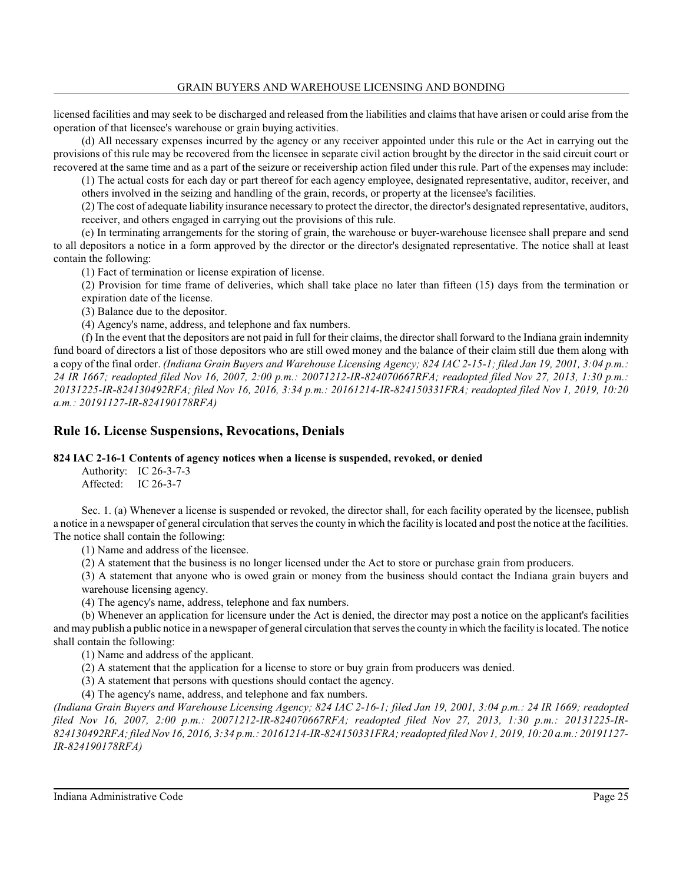licensed facilities and may seek to be discharged and released from the liabilities and claims that have arisen or could arise from the operation of that licensee's warehouse or grain buying activities.

(d) All necessary expenses incurred by the agency or any receiver appointed under this rule or the Act in carrying out the provisions of this rule may be recovered from the licensee in separate civil action brought by the director in the said circuit court or recovered at the same time and as a part of the seizure or receivership action filed under this rule. Part of the expenses may include:

(1) The actual costs for each day or part thereof for each agency employee, designated representative, auditor, receiver, and others involved in the seizing and handling of the grain, records, or property at the licensee's facilities.

(2) The cost of adequate liability insurance necessary to protect the director, the director's designated representative, auditors, receiver, and others engaged in carrying out the provisions of this rule.

(e) In terminating arrangements for the storing of grain, the warehouse or buyer-warehouse licensee shall prepare and send to all depositors a notice in a form approved by the director or the director's designated representative. The notice shall at least contain the following:

(1) Fact of termination or license expiration of license.

(2) Provision for time frame of deliveries, which shall take place no later than fifteen (15) days from the termination or expiration date of the license.

(3) Balance due to the depositor.

(4) Agency's name, address, and telephone and fax numbers.

(f) In the event that the depositors are not paid in full for their claims, the director shall forward to the Indiana grain indemnity fund board of directors a list of those depositors who are still owed money and the balance of their claim still due them along with a copy of the final order. *(Indiana Grain Buyers and Warehouse Licensing Agency; 824 IAC 2-15-1; filed Jan 19, 2001, 3:04 p.m.: 24 IR 1667; readopted filed Nov 16, 2007, 2:00 p.m.: 20071212-IR-824070667RFA; readopted filed Nov 27, 2013, 1:30 p.m.: 20131225-IR-824130492RFA; filed Nov 16, 2016, 3:34 p.m.: 20161214-IR-824150331FRA; readopted filed Nov 1, 2019, 10:20 a.m.: 20191127-IR-824190178RFA)*

## **Rule 16. License Suspensions, Revocations, Denials**

## **824 IAC 2-16-1 Contents of agency notices when a license is suspended, revoked, or denied**

Authority: IC 26-3-7-3 Affected: IC 26-3-7

Sec. 1. (a) Whenever a license is suspended or revoked, the director shall, for each facility operated by the licensee, publish a notice in a newspaper of general circulation that serves the county in which the facility is located and post the notice at the facilities. The notice shall contain the following:

(1) Name and address of the licensee.

(2) A statement that the business is no longer licensed under the Act to store or purchase grain from producers.

(3) A statement that anyone who is owed grain or money from the business should contact the Indiana grain buyers and warehouse licensing agency.

(4) The agency's name, address, telephone and fax numbers.

(b) Whenever an application for licensure under the Act is denied, the director may post a notice on the applicant's facilities and may publish a public notice in a newspaper of general circulation that serves the county in which the facility is located. The notice shall contain the following:

(1) Name and address of the applicant.

(2) A statement that the application for a license to store or buy grain from producers was denied.

(3) A statement that persons with questions should contact the agency.

(4) The agency's name, address, and telephone and fax numbers.

*(Indiana Grain Buyers and Warehouse Licensing Agency; 824 IAC 2-16-1; filed Jan 19, 2001, 3:04 p.m.: 24 IR 1669; readopted filed Nov 16, 2007, 2:00 p.m.: 20071212-IR-824070667RFA; readopted filed Nov 27, 2013, 1:30 p.m.: 20131225-IR-824130492RFA; filed Nov 16, 2016, 3:34 p.m.: 20161214-IR-824150331FRA; readopted filed Nov 1, 2019, 10:20 a.m.: 20191127- IR-824190178RFA)*